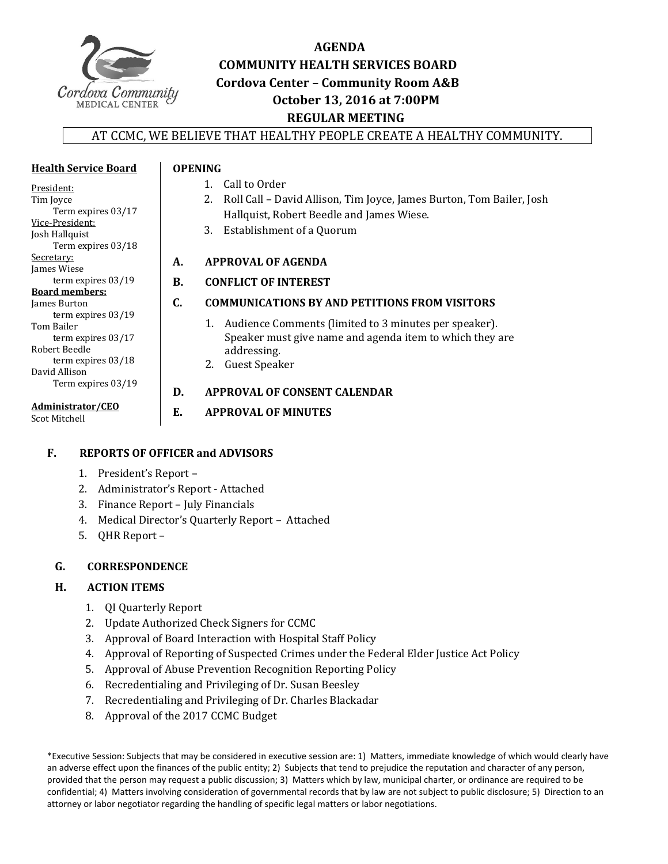

**Health Service Board**

# **AGENDA COMMUNITY HEALTH SERVICES BOARD Cordova Center – Community Room A&B October 13, 2016 at 7:00PM REGULAR MEETING**

#### AT CCMC, WE BELIEVE THAT HEALTHY PEOPLE CREATE A HEALTHY COMMUNITY.

| President:                           |           | Call to Order<br>1.                                                     |
|--------------------------------------|-----------|-------------------------------------------------------------------------|
| Tim Joyce                            |           | 2. Roll Call – David Allison, Tim Joyce, James Burton, Tom Bailer, Josh |
| Term expires 03/17                   |           | Hallquist, Robert Beedle and James Wiese.                               |
| Vice-President:                      |           | Establishment of a Quorum<br>3.                                         |
| Josh Hallquist<br>Term expires 03/18 |           |                                                                         |
| Secretary:<br>James Wiese            | А.        | <b>APPROVAL OF AGENDA</b>                                               |
| term expires $03/19$                 | <b>B.</b> | <b>CONFLICT OF INTEREST</b>                                             |
| <b>Board members:</b>                |           |                                                                         |
| James Burton                         | C.        | <b>COMMUNICATIONS BY AND PETITIONS FROM VISITORS</b>                    |
| term expires $03/19$<br>Tom Bailer   |           | 1. Audience Comments (limited to 3 minutes per speaker).                |
| term expires $03/17$                 |           | Speaker must give name and agenda item to which they are                |
| Robert Beedle                        |           | addressing.                                                             |
| term expires 03/18                   |           | Guest Speaker<br>2.                                                     |
| David Allison                        |           |                                                                         |
| Term expires 03/19                   | D.        | APPROVAL OF CONSENT CALENDAR                                            |
| Administrator/CEO<br>Scot Mitchell   | E.        | <b>APPROVAL OF MINUTES</b>                                              |
|                                      |           |                                                                         |

#### **F. REPORTS OF OFFICER and ADVISORS**

- 1. President's Report -
- 2. Administrator's Report Attached
- 3. Finance Report July Financials
- 4. Medical Director's Quarterly Report Attached

**OPENING**

5. QHR Report -

#### G. **CORRESPONDENCE**

#### **H. ACTION ITEMS**

- 1. QI Quarterly Report
- 2. Update Authorized Check Signers for CCMC
- 3. Approval of Board Interaction with Hospital Staff Policy
- 4. Approval of Reporting of Suspected Crimes under the Federal Elder Justice Act Policy
- 5. Approval of Abuse Prevention Recognition Reporting Policy
- 6. Recredentialing and Privileging of Dr. Susan Beesley
- 7. Recredentialing and Privileging of Dr. Charles Blackadar
- 8. Approval of the 2017 CCMC Budget

\*Executive Session: Subjects that may be considered in executive session are: 1) Matters, immediate knowledge of which would clearly have an adverse effect upon the finances of the public entity; 2) Subjects that tend to prejudice the reputation and character of any person, provided that the person may request a public discussion; 3) Matters which by law, municipal charter, or ordinance are required to be confidential; 4) Matters involving consideration of governmental records that by law are not subject to public disclosure; 5) Direction to an attorney or labor negotiator regarding the handling of specific legal matters or labor negotiations.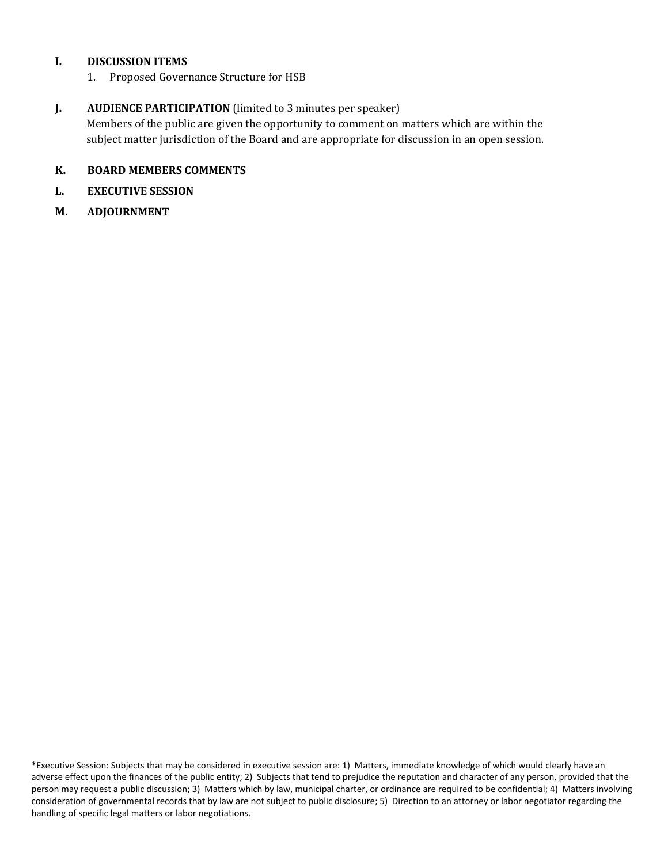#### **I. DISCUSSION ITEMS**

1. Proposed Governance Structure for HSB

#### **J. AUDIENCE PARTICIPATION** (limited to 3 minutes per speaker)

Members of the public are given the opportunity to comment on matters which are within the subject matter jurisdiction of the Board and are appropriate for discussion in an open session.

#### **K. BOARD MEMBERS COMMENTS**

- **L. EXECUTIVE SESSION**
- **M. ADJOURNMENT**

\*Executive Session: Subjects that may be considered in executive session are: 1) Matters, immediate knowledge of which would clearly have an adverse effect upon the finances of the public entity; 2) Subjects that tend to prejudice the reputation and character of any person, provided that the person may request a public discussion; 3) Matters which by law, municipal charter, or ordinance are required to be confidential; 4) Matters involving consideration of governmental records that by law are not subject to public disclosure; 5) Direction to an attorney or labor negotiator regarding the handling of specific legal matters or labor negotiations.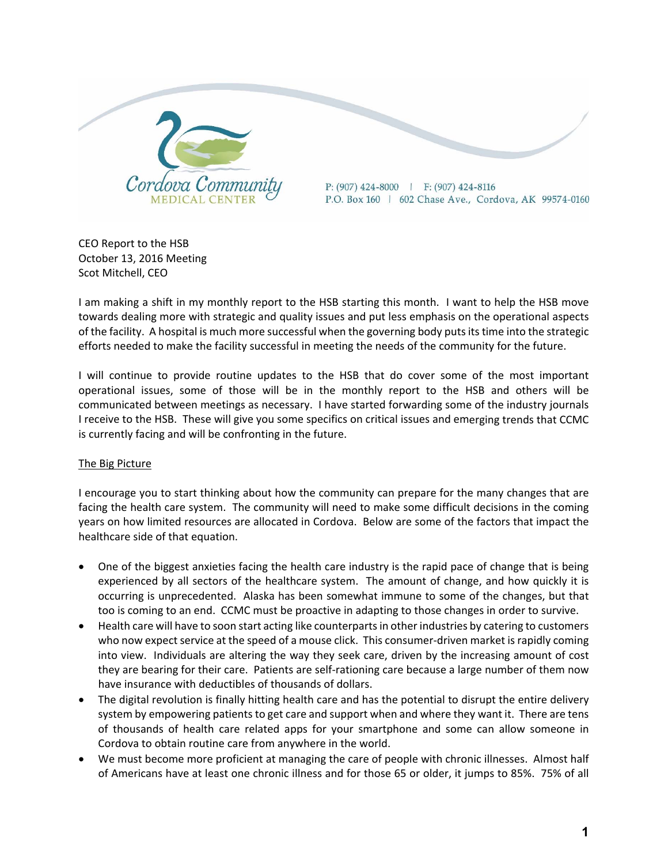

CEO Report to the HSB October 13, 2016 Meeting Scot Mitchell, CEO

I am making a shift in my monthly report to the HSB starting this month. I want to help the HSB move towards dealing more with strategic and quality issues and put less emphasis on the operational aspects of the facility. A hospital is much more successful when the governing body putsitstime into the strategic efforts needed to make the facility successful in meeting the needs of the community for the future.

I will continue to provide routine updates to the HSB that do cover some of the most important operational issues, some of those will be in the monthly report to the HSB and others will be communicated between meetings as necessary. I have started forwarding some of the industry journals I receive to the HSB. These will give you some specifics on critical issues and emerging trends that CCMC is currently facing and will be confronting in the future.

#### The Big Picture

I encourage you to start thinking about how the community can prepare for the many changes that are facing the health care system. The community will need to make some difficult decisions in the coming years on how limited resources are allocated in Cordova. Below are some of the factors that impact the healthcare side of that equation.

- One of the biggest anxieties facing the health care industry is the rapid pace of change that is being experienced by all sectors of the healthcare system. The amount of change, and how quickly it is occurring is unprecedented. Alaska has been somewhat immune to some of the changes, but that too is coming to an end. CCMC must be proactive in adapting to those changes in order to survive.
- Health care will have to soon start acting like counterpartsin other industries by catering to customers who now expect service at the speed of a mouse click. This consumer-driven market is rapidly coming into view. Individuals are altering the way they seek care, driven by the increasing amount of cost they are bearing for their care. Patients are self‐rationing care because a large number of them now have insurance with deductibles of thousands of dollars.
- The digital revolution is finally hitting health care and has the potential to disrupt the entire delivery system by empowering patients to get care and support when and where they want it. There are tens of thousands of health care related apps for your smartphone and some can allow someone in Cordova to obtain routine care from anywhere in the world.
- We must become more proficient at managing the care of people with chronic illnesses. Almost half of Americans have at least one chronic illness and for those 65 or older, it jumps to 85%. 75% of all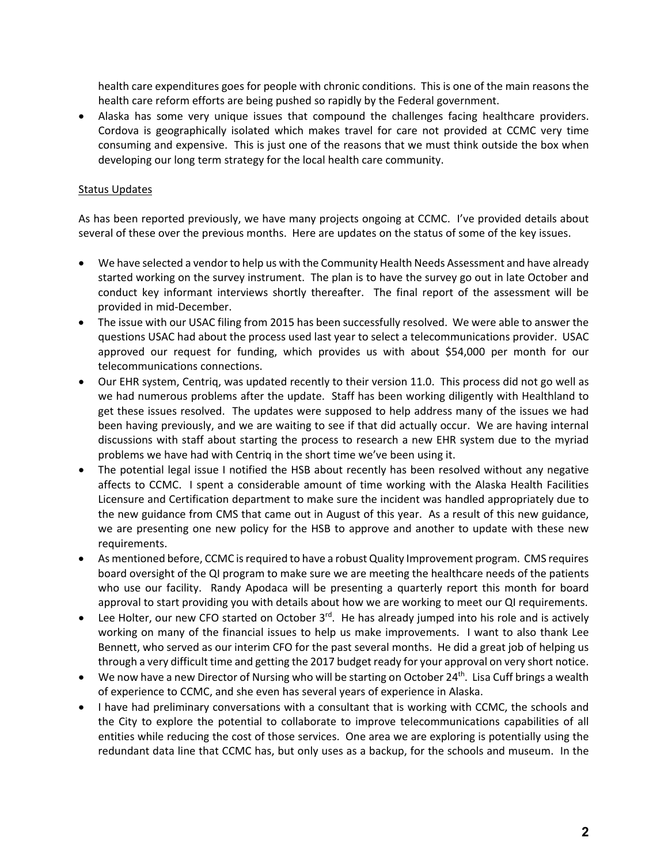health care expenditures goes for people with chronic conditions. This is one of the main reasons the health care reform efforts are being pushed so rapidly by the Federal government.

 Alaska has some very unique issues that compound the challenges facing healthcare providers. Cordova is geographically isolated which makes travel for care not provided at CCMC very time consuming and expensive. This is just one of the reasons that we must think outside the box when developing our long term strategy for the local health care community.

#### Status Updates

As has been reported previously, we have many projects ongoing at CCMC. I've provided details about several of these over the previous months. Here are updates on the status of some of the key issues.

- We have selected a vendor to help us with the Community Health Needs Assessment and have already started working on the survey instrument. The plan is to have the survey go out in late October and conduct key informant interviews shortly thereafter. The final report of the assessment will be provided in mid‐December.
- The issue with our USAC filing from 2015 has been successfully resolved. We were able to answer the questions USAC had about the process used last year to select a telecommunications provider. USAC approved our request for funding, which provides us with about \$54,000 per month for our telecommunications connections.
- Our EHR system, Centriq, was updated recently to their version 11.0. This process did not go well as we had numerous problems after the update. Staff has been working diligently with Healthland to get these issues resolved. The updates were supposed to help address many of the issues we had been having previously, and we are waiting to see if that did actually occur. We are having internal discussions with staff about starting the process to research a new EHR system due to the myriad problems we have had with Centriq in the short time we've been using it.
- The potential legal issue I notified the HSB about recently has been resolved without any negative affects to CCMC. I spent a considerable amount of time working with the Alaska Health Facilities Licensure and Certification department to make sure the incident was handled appropriately due to the new guidance from CMS that came out in August of this year. As a result of this new guidance, we are presenting one new policy for the HSB to approve and another to update with these new requirements.
- As mentioned before, CCMC isrequired to have a robust Quality Improvement program. CMS requires board oversight of the QI program to make sure we are meeting the healthcare needs of the patients who use our facility. Randy Apodaca will be presenting a quarterly report this month for board approval to start providing you with details about how we are working to meet our QI requirements.
- Lee Holter, our new CFO started on October 3<sup>rd</sup>. He has already jumped into his role and is actively working on many of the financial issues to help us make improvements. I want to also thank Lee Bennett, who served as our interim CFO for the past several months. He did a great job of helping us through a very difficult time and getting the 2017 budget ready for your approval on very short notice.
- We now have a new Director of Nursing who will be starting on October 24<sup>th</sup>. Lisa Cuff brings a wealth of experience to CCMC, and she even has several years of experience in Alaska.
- I have had preliminary conversations with a consultant that is working with CCMC, the schools and the City to explore the potential to collaborate to improve telecommunications capabilities of all entities while reducing the cost of those services. One area we are exploring is potentially using the redundant data line that CCMC has, but only uses as a backup, for the schools and museum. In the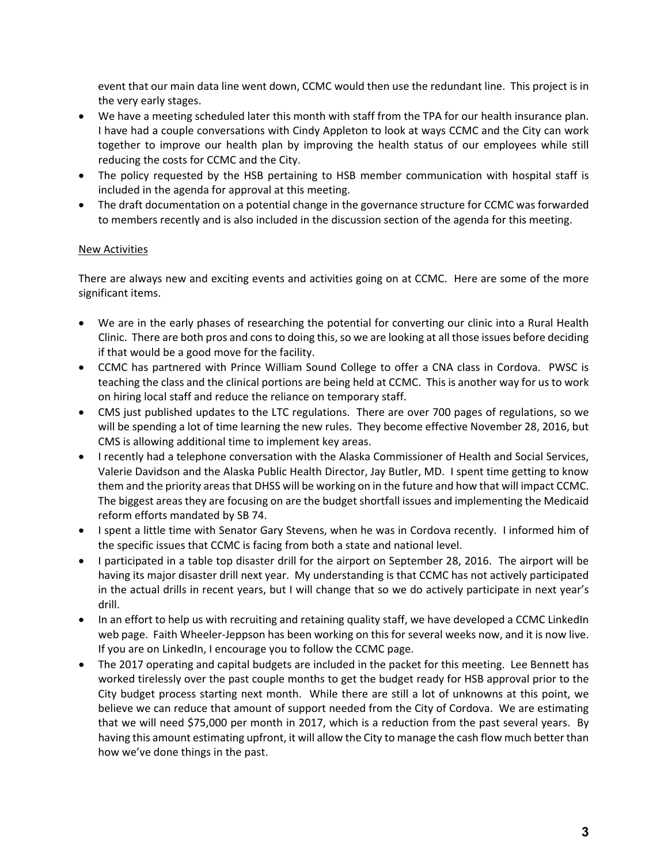event that our main data line went down, CCMC would then use the redundant line. This project is in the very early stages.

- We have a meeting scheduled later this month with staff from the TPA for our health insurance plan. I have had a couple conversations with Cindy Appleton to look at ways CCMC and the City can work together to improve our health plan by improving the health status of our employees while still reducing the costs for CCMC and the City.
- The policy requested by the HSB pertaining to HSB member communication with hospital staff is included in the agenda for approval at this meeting.
- The draft documentation on a potential change in the governance structure for CCMC was forwarded to members recently and is also included in the discussion section of the agenda for this meeting.

#### New Activities

There are always new and exciting events and activities going on at CCMC. Here are some of the more significant items.

- We are in the early phases of researching the potential for converting our clinic into a Rural Health Clinic. There are both pros and cons to doing this, so we are looking at all those issues before deciding if that would be a good move for the facility.
- CCMC has partnered with Prince William Sound College to offer a CNA class in Cordova. PWSC is teaching the class and the clinical portions are being held at CCMC. This is another way for us to work on hiring local staff and reduce the reliance on temporary staff.
- CMS just published updates to the LTC regulations. There are over 700 pages of regulations, so we will be spending a lot of time learning the new rules. They become effective November 28, 2016, but CMS is allowing additional time to implement key areas.
- I recently had a telephone conversation with the Alaska Commissioner of Health and Social Services, Valerie Davidson and the Alaska Public Health Director, Jay Butler, MD. I spent time getting to know them and the priority areas that DHSS will be working on in the future and how that will impact CCMC. The biggest areas they are focusing on are the budget shortfall issues and implementing the Medicaid reform efforts mandated by SB 74.
- I spent a little time with Senator Gary Stevens, when he was in Cordova recently. I informed him of the specific issues that CCMC is facing from both a state and national level.
- I participated in a table top disaster drill for the airport on September 28, 2016. The airport will be having its major disaster drill next year. My understanding is that CCMC has not actively participated in the actual drills in recent years, but I will change that so we do actively participate in next year's drill.
- In an effort to help us with recruiting and retaining quality staff, we have developed a CCMC LinkedIn web page. Faith Wheeler-Jeppson has been working on this for several weeks now, and it is now live. If you are on LinkedIn, I encourage you to follow the CCMC page.
- The 2017 operating and capital budgets are included in the packet for this meeting. Lee Bennett has worked tirelessly over the past couple months to get the budget ready for HSB approval prior to the City budget process starting next month. While there are still a lot of unknowns at this point, we believe we can reduce that amount of support needed from the City of Cordova. We are estimating that we will need \$75,000 per month in 2017, which is a reduction from the past several years. By having this amount estimating upfront, it will allow the City to manage the cash flow much better than how we've done things in the past.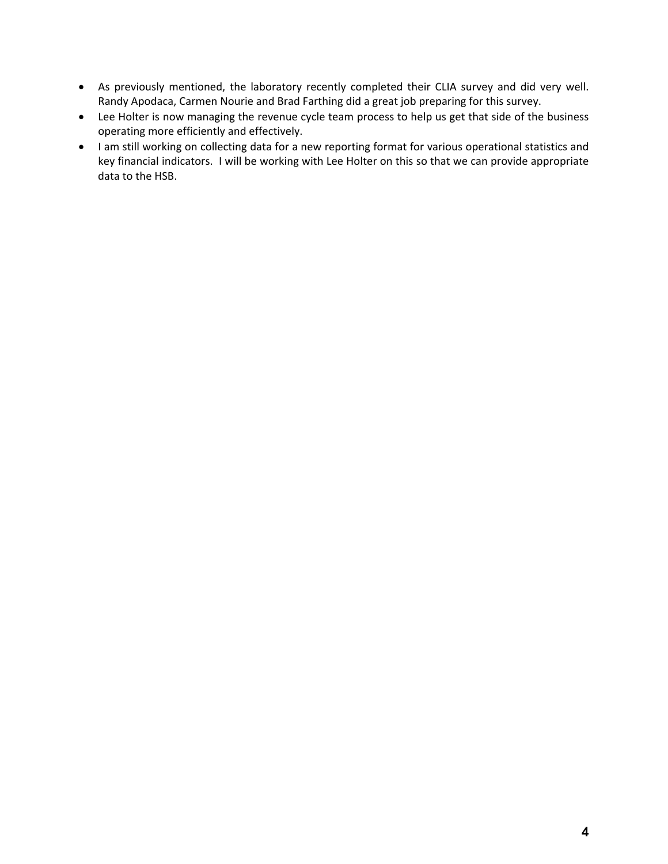- As previously mentioned, the laboratory recently completed their CLIA survey and did very well. Randy Apodaca, Carmen Nourie and Brad Farthing did a great job preparing for this survey.
- Lee Holter is now managing the revenue cycle team process to help us get that side of the business operating more efficiently and effectively.
- I am still working on collecting data for a new reporting format for various operational statistics and key financial indicators. I will be working with Lee Holter on this so that we can provide appropriate data to the HSB.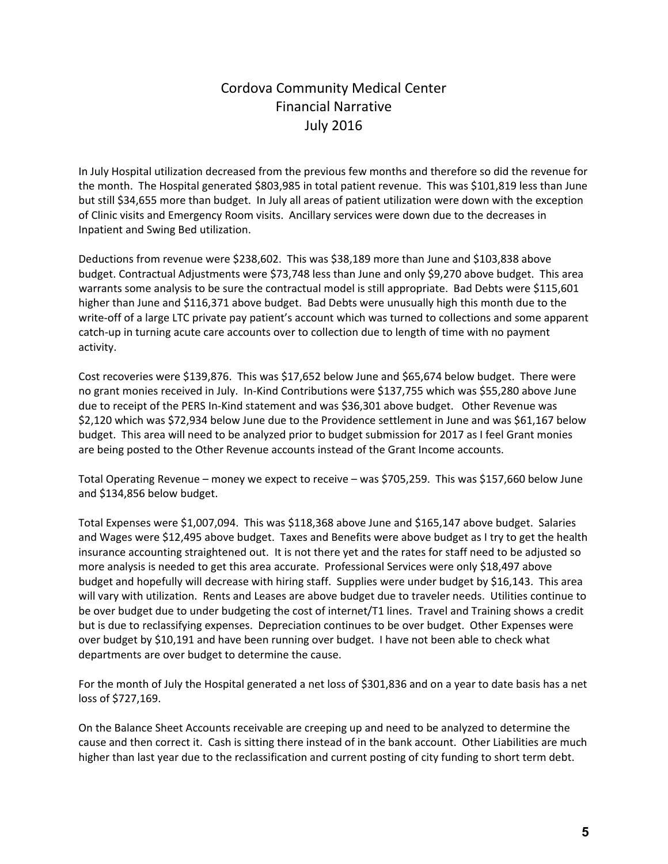# Cordova Community Medical Center Financial Narrative July 2016

In July Hospital utilization decreased from the previous few months and therefore so did the revenue for the month. The Hospital generated \$803,985 in total patient revenue. This was \$101,819 less than June but still \$34,655 more than budget. In July all areas of patient utilization were down with the exception of Clinic visits and Emergency Room visits. Ancillary services were down due to the decreases in Inpatient and Swing Bed utilization.

Deductions from revenue were \$238,602. This was \$38,189 more than June and \$103,838 above budget. Contractual Adjustments were \$73,748 less than June and only \$9,270 above budget. This area warrants some analysis to be sure the contractual model is still appropriate. Bad Debts were \$115,601 higher than June and \$116,371 above budget. Bad Debts were unusually high this month due to the write-off of a large LTC private pay patient's account which was turned to collections and some apparent catch‐up in turning acute care accounts over to collection due to length of time with no payment activity.

Cost recoveries were \$139,876. This was \$17,652 below June and \$65,674 below budget. There were no grant monies received in July. In‐Kind Contributions were \$137,755 which was \$55,280 above June due to receipt of the PERS In‐Kind statement and was \$36,301 above budget. Other Revenue was \$2,120 which was \$72,934 below June due to the Providence settlement in June and was \$61,167 below budget. This area will need to be analyzed prior to budget submission for 2017 as I feel Grant monies are being posted to the Other Revenue accounts instead of the Grant Income accounts.

Total Operating Revenue – money we expect to receive – was \$705,259. This was \$157,660 below June and \$134,856 below budget.

Total Expenses were \$1,007,094. This was \$118,368 above June and \$165,147 above budget. Salaries and Wages were \$12,495 above budget. Taxes and Benefits were above budget as I try to get the health insurance accounting straightened out. It is not there yet and the rates for staff need to be adjusted so more analysis is needed to get this area accurate. Professional Services were only \$18,497 above budget and hopefully will decrease with hiring staff. Supplies were under budget by \$16,143. This area will vary with utilization. Rents and Leases are above budget due to traveler needs. Utilities continue to be over budget due to under budgeting the cost of internet/T1 lines. Travel and Training shows a credit but is due to reclassifying expenses. Depreciation continues to be over budget. Other Expenses were over budget by \$10,191 and have been running over budget. I have not been able to check what departments are over budget to determine the cause.

For the month of July the Hospital generated a net loss of \$301,836 and on a year to date basis has a net loss of \$727,169.

On the Balance Sheet Accounts receivable are creeping up and need to be analyzed to determine the cause and then correct it. Cash is sitting there instead of in the bank account. Other Liabilities are much higher than last year due to the reclassification and current posting of city funding to short term debt.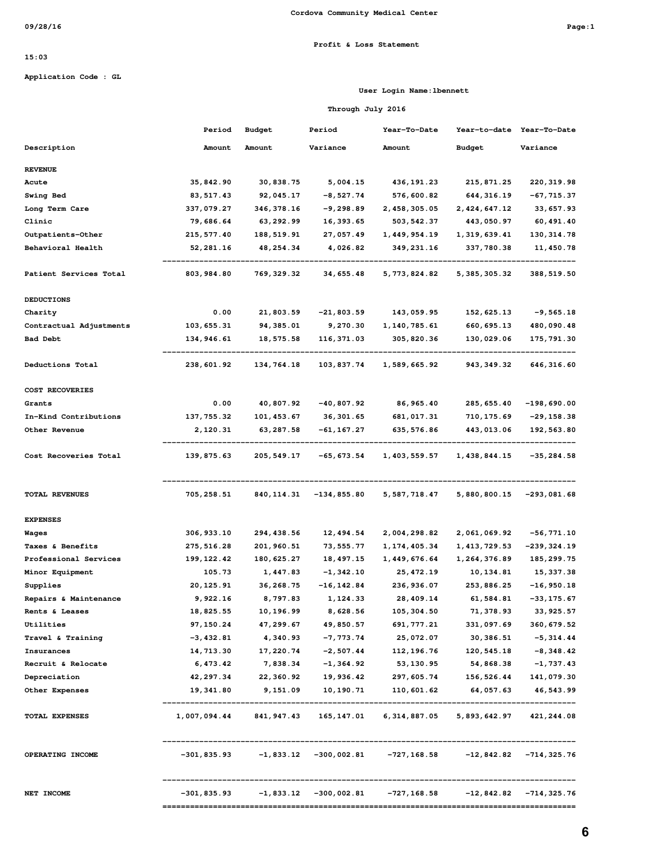#### **Profit & Loss Statement**

#### **15:03**

**Application Code : GL**

#### **User Login Name:lbennett**

#### **Through July 2016**

|                         | Period      | <b>Budget</b>           | Period         | Year-To-Date                                                                     | Year-to-date                      | Year-To-Date  |
|-------------------------|-------------|-------------------------|----------------|----------------------------------------------------------------------------------|-----------------------------------|---------------|
| Description             | Amount      | Amount                  | Variance       | Amount                                                                           | Budget                            | Variance      |
| <b>REVENUE</b>          |             |                         |                |                                                                                  |                                   |               |
| Acute                   | 35,842.90   | 30,838.75               | 5,004.15       | 436,191.23                                                                       | 215,871.25                        | 220,319.98    |
| <b>Swing Bed</b>        | 83, 517.43  | 92,045.17               | $-8,527.74$    | 576,600.82                                                                       | 644, 316.19                       | -67,715.37    |
| Long Term Care          | 337,079.27  | 346, 378.16             | -9,298.89      | 2,458,305.05                                                                     | 2,424,647.12                      | 33, 657.93    |
| Clinic                  | 79,686.64   | 63, 292.99              | 16, 393.65     | 503, 542.37                                                                      | 443,050.97                        | 60, 491.40    |
| Outpatients-Other       | 215, 577.40 | 188,519.91              | 27,057.49      | 1,449,954.19                                                                     | 1,319,639.41                      | 130,314.78    |
| Behavioral Health       | 52,281.16   | 48, 254.34              | 4,026.82       | 349,231.16                                                                       | 337,780.38                        | 11,450.78     |
| Patient Services Total  | 803, 984.80 | 769, 329.32             | 34, 655.48     | 5,773,824.82                                                                     | 5, 385, 305.32                    | 388,519.50    |
| <b>DEDUCTIONS</b>       |             |                         |                |                                                                                  |                                   |               |
| Charity                 | 0.00        | 21,803.59               | $-21,803.59$   | 143,059.95                                                                       | 152, 625.13                       | $-9,565.18$   |
| Contractual Adjustments | 103, 655.31 | 94, 385.01              | 9,270.30       | 1,140,785.61                                                                     | 660, 695.13                       | 480,090.48    |
| <b>Bad Debt</b>         | 134,946.61  | 18,575.58               | 116,371.03     | 305,820.36                                                                       | 130,029.06                        | 175,791.30    |
| Deductions Total        | 238,601.92  | 134,764.18              | 103,837.74     | 1,589,665.92                                                                     | 943, 349.32                       | 646, 316.60   |
| COST RECOVERIES         |             |                         |                |                                                                                  |                                   |               |
| Grants                  | 0.00        | 40,807.92               | -40,807.92     | 86, 965.40                                                                       | 285, 655.40                       | $-198,690.00$ |
| In-Kind Contributions   | 137, 755.32 | 101,453.67              | 36, 301.65     | 681,017.31                                                                       | 710, 175.69                       | -29,158.38    |
| Other Revenue           | 2,120.31    | 63, 287.58              | -61,167.27     | 635,576.86                                                                       | 443,013.06                        | 192,563.80    |
| Cost Recoveries Total   | 139,875.63  | 205,549.17              | -65, 673.54    | 1,403,559.57                                                                     | 1,438,844.15                      | $-35,284.58$  |
| <b>TOTAL REVENUES</b>   | 705,258.51  | 840, 114.31             | $-134, 855.80$ | 5,587,718.47                                                                     | 5,880,800.15                      | $-293,081.68$ |
| <b>EXPENSES</b>         |             |                         |                |                                                                                  |                                   |               |
| Wages                   | 306, 933.10 | 294, 438.56             | 12,494.54      | 2,004,298.82                                                                     | 2,061,069.92                      | -56,771.10    |
| Taxes & Benefits        | 275, 516.28 | 201,960.51              | 73, 555.77     | 1, 174, 405.34                                                                   | 1, 413, 729.53                    | -239,324.19   |
| Professional Services   | 199, 122.42 | 180, 625.27             | 18,497.15      | 1,449,676.64                                                                     | 1,264,376.89                      | 185, 299.75   |
| Minor Equipment         | 105.73      | 1,447.83                | -1,342.10      | 25, 472.19                                                                       | 10,134.81                         | 15, 337.38    |
| Supplies                | 20,125.91   | 36, 268.75              | $-16, 142.84$  | 236,936.07                                                                       | 253,886.25                        | -16,950.18    |
| Repairs & Maintenance   | 9,922.16    | 8,797.83                | 1,124.33       | 28,409.14                                                                        | 61,584.81                         | -33,175.67    |
| Rents & Leases          | 18,825.55   | 10,196.99               | 8,628.56       | 105, 304.50                                                                      | 71, 378.93                        | 33, 925.57    |
| Utilities               | 97,150.24   | 47,299.67               | 49,850.57      | 691, 777.21                                                                      | 331,097.69                        | 360, 679.52   |
| Travel & Training       | $-3,432.81$ | 4,340.93                | $-7,773.74$    | 25,072.07                                                                        | 30,386.51                         | $-5, 314.44$  |
| Insurances              | 14,713.30   | 17,220.74               | $-2,507.44$    | 112,196.76                                                                       | 120,545.18                        | $-8,348.42$   |
| Recruit & Relocate      | 6,473.42    | 7,838.34                | $-1, 364.92$   | 53,130.95                                                                        | 54,868.38                         | $-1,737.43$   |
| Depreciation            | 42, 297.34  | 22,360.92               | 19,936.42      | 297,605.74                                                                       | 156,526.44                        | 141,079.30    |
| Other Expenses          | 19,341.80   | 9,151.09                | 10,190.71      | 110,601.62                                                                       | 64,057.63                         | 46,543.99     |
| <b>TOTAL EXPENSES</b>   |             | 1,007,094.44 841,947.43 |                | 165, 147.01 6, 314, 887.05 5, 893, 642.97                                        |                                   | 421, 244.08   |
| OPERATING INCOME        |             |                         |                | $-301,835.93$ $-1,833.12$ $-300,002.81$ $-727,168.58$ $-12,842.82$ $-714,325.76$ |                                   |               |
| NET INCOME              |             |                         |                | $-301,835.93$ $-1,833.12$ $-300,002.81$ $-727,168.58$ $-12,842.82$ $-714,325.76$ |                                   |               |
|                         |             |                         |                |                                                                                  | --------------------------------- |               |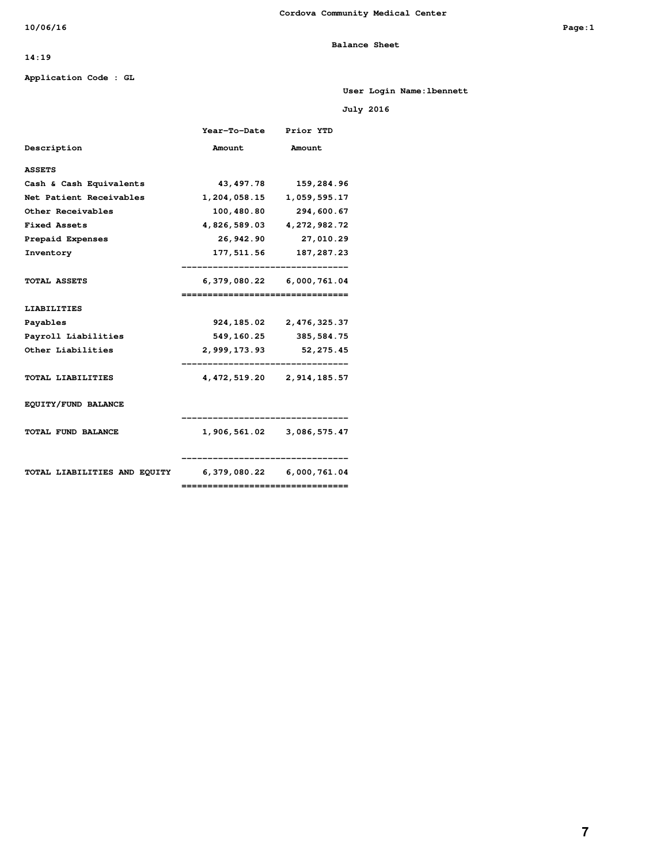**Balance Sheet** 

#### **14:19**

#### **Application Code : GL**

**User Login Name:lbennett**

 **July 2016** 

|                                                        | Year-To-Date Prior YTD             |                               |
|--------------------------------------------------------|------------------------------------|-------------------------------|
| Description                                            | Amount                             | Amount                        |
| <b>ASSETS</b>                                          |                                    |                               |
| Cash & Cash Equivalents                                |                                    | 43, 497. 78 159, 284. 96      |
| Net Patient Receivables                                |                                    | 1,204,058.15 1,059,595.17     |
| Other Receivables                                      |                                    | 100,480.80 294,600.67         |
| <b>Fixed Assets</b>                                    |                                    | 4,826,589.03 4,272,982.72     |
| Prepaid Expenses                                       |                                    | 26,942.90 27,010.29           |
| Inventory                                              |                                    | 177, 511.56 187, 287.23       |
|                                                        |                                    | --------------------------    |
| TOTAL ASSETS                                           |                                    | 6,379,080.22 6,000,761.04     |
|                                                        | ================================   |                               |
| <b>LIABILITIES</b>                                     |                                    |                               |
| Payables                                               |                                    | 924, 185.02 2, 476, 325.37    |
| Payroll Liabilities                                    |                                    | 549, 160. 25 385, 584. 75     |
| Other Liabilities                                      | 2,999,173.93                       | 52,275.45                     |
|                                                        | -----------------------            |                               |
| TOTAL LIABILITIES                                      |                                    | 4, 472, 519.20 2, 914, 185.57 |
| EQUITY/FUND BALANCE                                    |                                    |                               |
|                                                        |                                    | .___________________________  |
| TOTAL FUND BALANCE                                     |                                    | 1,906,561.02 3,086,575.47     |
|                                                        |                                    |                               |
|                                                        |                                    |                               |
| TOTAL LIABILITIES AND EQUITY 6,379,080.22 6,000,761.04 |                                    |                               |
|                                                        | __________________________________ |                               |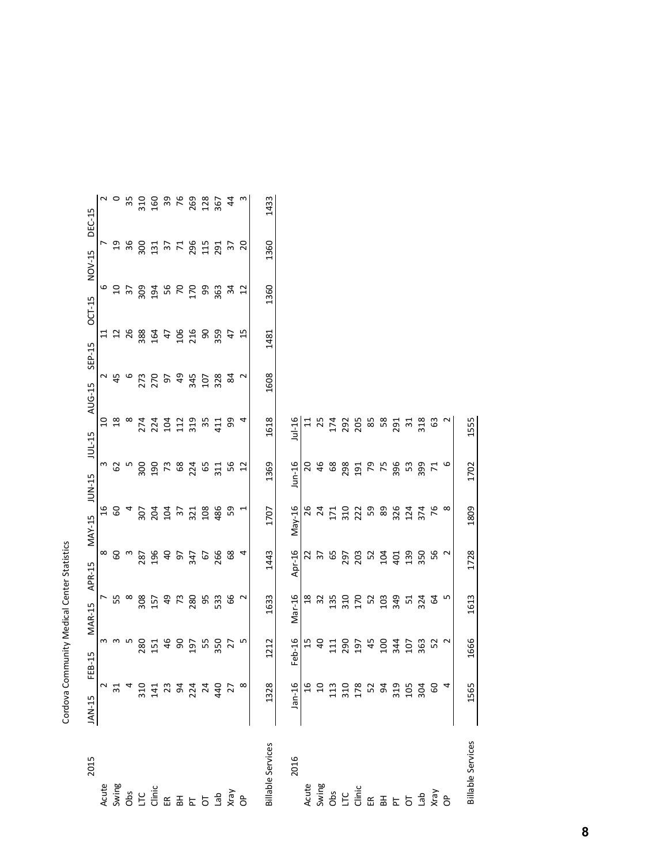|                                                                                                                                                                                                                                           |        |                 | Cordova Community Medical Center Statistics                                                                    |                                               |                          |                       |                  |                   |        |                 |                  |                |                               |
|-------------------------------------------------------------------------------------------------------------------------------------------------------------------------------------------------------------------------------------------|--------|-----------------|----------------------------------------------------------------------------------------------------------------|-----------------------------------------------|--------------------------|-----------------------|------------------|-------------------|--------|-----------------|------------------|----------------|-------------------------------|
| 2015                                                                                                                                                                                                                                      | JAN-15 | FEB-15          | <b>MAR-15</b>                                                                                                  | APR-15                                        | <b>MAY-15</b>            | JUN-15                | <b>JUL-15</b>    | AUG-15            | SEP-15 | OCT-15          | NOV-15           | DEC-15         |                               |
|                                                                                                                                                                                                                                           |        |                 |                                                                                                                |                                               | $\frac{6}{1}$            |                       |                  | S                 |        | $\overline{11}$ |                  |                |                               |
|                                                                                                                                                                                                                                           |        |                 | <b>7</b><br>55<br>ന ന ഥ                                                                                        | $\frac{8}{6}$                                 | 60                       |                       |                  | ~ \$ %<br>$^{18}$ |        |                 |                  |                |                               |
|                                                                                                                                                                                                                                           |        |                 | $\infty$                                                                                                       | $\omega$                                      | $\overline{\phantom{a}}$ |                       |                  | $\infty$          |        |                 | $\frac{6}{3}$ &  |                | $\frac{1}{2}$ 0 $\frac{1}{2}$ |
|                                                                                                                                                                                                                                           |        | 280             | 308                                                                                                            |                                               | 307                      | n 8 n 8<br>3          | 274              |                   |        | 288             | 309              |                | 310                           |
|                                                                                                                                                                                                                                           |        | 151             | 157                                                                                                            |                                               | 204                      |                       |                  | 273<br>270        |        | 164             |                  |                | 160                           |
|                                                                                                                                                                                                                                           |        |                 |                                                                                                                |                                               | 104                      |                       | 224<br>104       | 57                |        | 47              |                  |                |                               |
|                                                                                                                                                                                                                                           |        | 489             | 478855                                                                                                         |                                               |                          | 190<br>73<br>83<br>24 | 112<br>319       | 49                |        | 106             | <b>Expanding</b> | 284.78         | 3<br>263<br>262<br>367        |
|                                                                                                                                                                                                                                           |        |                 |                                                                                                                |                                               | 321                      |                       |                  | 345               |        | 216             |                  |                |                               |
|                                                                                                                                                                                                                                           |        | 55              |                                                                                                                | 67<br>266                                     | 108                      | 65                    | $\frac{35}{411}$ |                   |        |                 |                  |                |                               |
|                                                                                                                                                                                                                                           |        | 350             |                                                                                                                |                                               | 486                      | 311                   |                  | 107<br>328        |        | ន<br>នី         | 98               | 115<br>291     |                               |
|                                                                                                                                                                                                                                           |        | $\overline{27}$ | 99                                                                                                             | 68                                            | 59                       | 56<br>12              |                  | $\approx$<br>99   |        | 47              | 34               | 57             | 44                            |
| <b>Assignation</b><br>Assignation of the Search of Assignation of the Search of Assignation of the Assignation of the Assignation<br>Action of the Assignation of Assignation of Assignation of Assignation of Assignation of Assignation |        |                 | $\sim$<br>m                                                                                                    | 4                                             | Η                        |                       |                  | 4                 | $\sim$ | 15              | $\overline{12}$  | $\overline{c}$ | ന                             |
| <b>Billable Services</b>                                                                                                                                                                                                                  | 1328   | 1212            | 1633                                                                                                           | 1443                                          | 1707                     | 1369                  | 1618             | 1608              |        | 1481            | 1360             | 1360           | 1433                          |
| 2016                                                                                                                                                                                                                                      |        | Feb-16          | Mar-16                                                                                                         | Apr-16                                        | $May-16$                 | $J$ un-16             | $Jul-16$         |                   |        |                 |                  |                |                               |
|                                                                                                                                                                                                                                           |        | 15              | $\frac{8}{1}$                                                                                                  |                                               | 26                       |                       | 20               |                   |        |                 |                  |                |                               |
|                                                                                                                                                                                                                                           |        | $\overline{a}$  | 32                                                                                                             | $\begin{array}{c} 27 \\ 37 \\ 65 \end{array}$ | $\overline{24}$          |                       | 46               | 25                |        |                 |                  |                |                               |
|                                                                                                                                                                                                                                           |        | $\Xi$           | 135                                                                                                            |                                               | 171                      | 68                    | 174              |                   |        |                 |                  |                |                               |
|                                                                                                                                                                                                                                           |        | 290             |                                                                                                                |                                               | 310                      | 298                   |                  |                   |        |                 |                  |                |                               |
|                                                                                                                                                                                                                                           |        |                 | 32 2 3 3 3 3 3 3 4 5 6 7 8 9 3 4 9 5 7 6 9 7 8 9 7 8 9 7 8 9 7 8 9 7 8 9 7 8 9 7 8 9 7 8 9 7 8 9 7 8 9 7 8 9 7 | <b>297</b><br>203<br>52                       | 222<br>59                | 1975<br>796<br>796    | 292<br>205       |                   |        |                 |                  |                |                               |
|                                                                                                                                                                                                                                           |        | 197<br>45       |                                                                                                                |                                               |                          |                       |                  |                   |        |                 |                  |                |                               |
|                                                                                                                                                                                                                                           |        | $\overline{5}$  |                                                                                                                | 104                                           | 89                       |                       |                  |                   |        |                 |                  |                |                               |
|                                                                                                                                                                                                                                           |        | 344             |                                                                                                                | 401                                           | 326                      |                       |                  |                   |        |                 |                  |                |                               |
|                                                                                                                                                                                                                                           |        | 107             | $\frac{51}{324}$                                                                                               | 139                                           | 124                      | 53                    |                  |                   |        |                 |                  |                |                               |
|                                                                                                                                                                                                                                           |        | 363             |                                                                                                                | 350                                           | $374$ 8                  | 399<br>71             | 318              |                   |        |                 |                  |                |                               |
|                                                                                                                                                                                                                                           |        | 52              | 64                                                                                                             | 56                                            |                          |                       |                  | යි                |        |                 |                  |                |                               |
| <b>Advised Solution</b><br>Assessed Solution<br>Advised Solution Solution                                                                                                                                                                 |        |                 | rU<br>$\sim$                                                                                                   | $\sim$                                        |                          |                       | م                |                   |        |                 |                  |                |                               |

1613

1666

1565

**Billable Services** 

1555

1702

1809

1728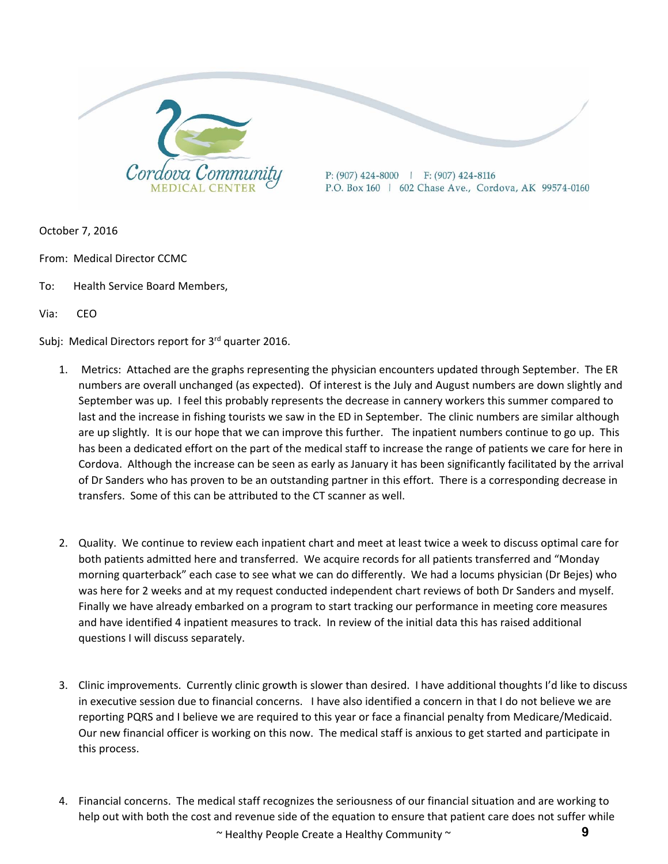

October 7, 2016

- From: Medical Director CCMC
- To: Health Service Board Members,

Via: CEO

Subj: Medical Directors report for 3<sup>rd</sup> quarter 2016.

- 1. Metrics: Attached are the graphs representing the physician encounters updated through September. The ER numbers are overall unchanged (as expected). Of interest is the July and August numbers are down slightly and September was up. I feel this probably represents the decrease in cannery workers this summer compared to last and the increase in fishing tourists we saw in the ED in September. The clinic numbers are similar although are up slightly. It is our hope that we can improve this further. The inpatient numbers continue to go up. This has been a dedicated effort on the part of the medical staff to increase the range of patients we care for here in Cordova. Although the increase can be seen as early as January it has been significantly facilitated by the arrival of Dr Sanders who has proven to be an outstanding partner in this effort. There is a corresponding decrease in transfers. Some of this can be attributed to the CT scanner as well.
- 2. Quality. We continue to review each inpatient chart and meet at least twice a week to discuss optimal care for both patients admitted here and transferred. We acquire records for all patients transferred and "Monday morning quarterback" each case to see what we can do differently. We had a locums physician (Dr Bejes) who was here for 2 weeks and at my request conducted independent chart reviews of both Dr Sanders and myself. Finally we have already embarked on a program to start tracking our performance in meeting core measures and have identified 4 inpatient measures to track. In review of the initial data this has raised additional questions I will discuss separately.
- 3. Clinic improvements. Currently clinic growth is slower than desired. I have additional thoughts I'd like to discuss in executive session due to financial concerns. I have also identified a concern in that I do not believe we are reporting PQRS and I believe we are required to this year or face a financial penalty from Medicare/Medicaid. Our new financial officer is working on this now. The medical staff is anxious to get started and participate in this process.
- ~ Healthy People Create a Healthy Community ~ 4. Financial concerns. The medical staff recognizes the seriousness of our financial situation and are working to help out with both the cost and revenue side of the equation to ensure that patient care does not suffer while **9**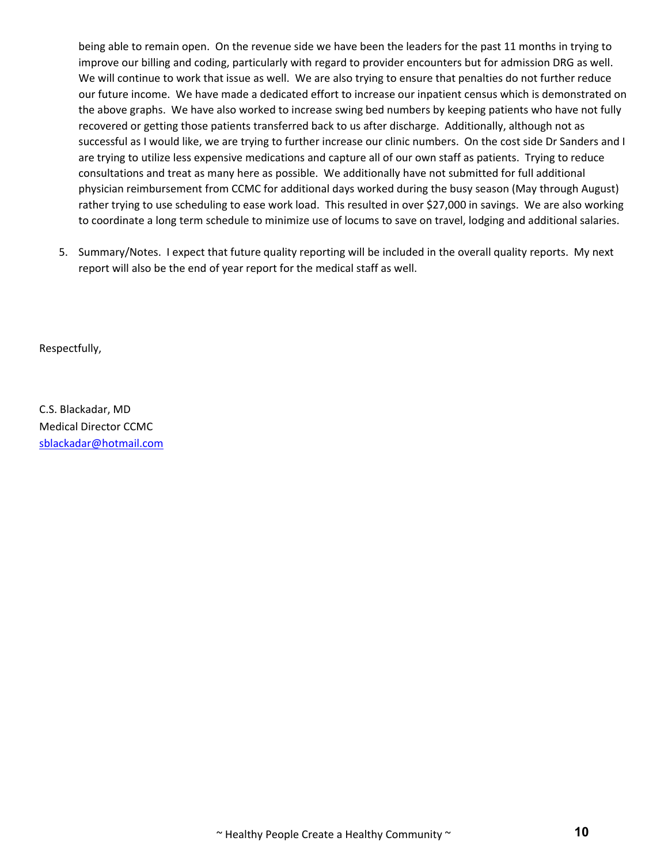being able to remain open. On the revenue side we have been the leaders for the past 11 months in trying to improve our billing and coding, particularly with regard to provider encounters but for admission DRG as well. We will continue to work that issue as well. We are also trying to ensure that penalties do not further reduce our future income. We have made a dedicated effort to increase our inpatient census which is demonstrated on the above graphs. We have also worked to increase swing bed numbers by keeping patients who have not fully recovered or getting those patients transferred back to us after discharge. Additionally, although not as successful as I would like, we are trying to further increase our clinic numbers. On the cost side Dr Sanders and I are trying to utilize less expensive medications and capture all of our own staff as patients. Trying to reduce consultations and treat as many here as possible. We additionally have not submitted for full additional physician reimbursement from CCMC for additional days worked during the busy season (May through August) rather trying to use scheduling to ease work load. This resulted in over \$27,000 in savings. We are also working to coordinate a long term schedule to minimize use of locums to save on travel, lodging and additional salaries.

5. Summary/Notes. I expect that future quality reporting will be included in the overall quality reports. My next report will also be the end of year report for the medical staff as well.

Respectfully,

C.S. Blackadar, MD Medical Director CCMC sblackadar@hotmail.com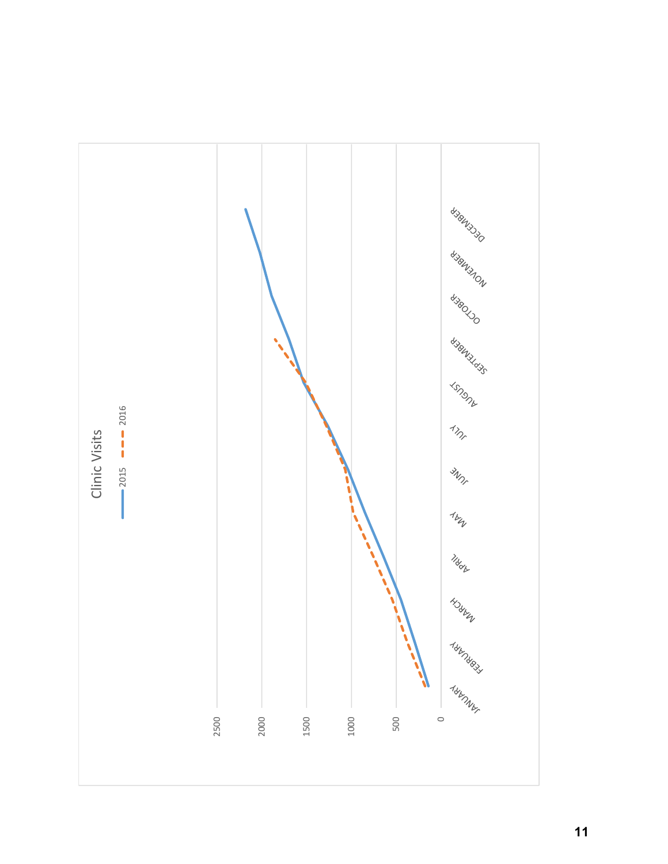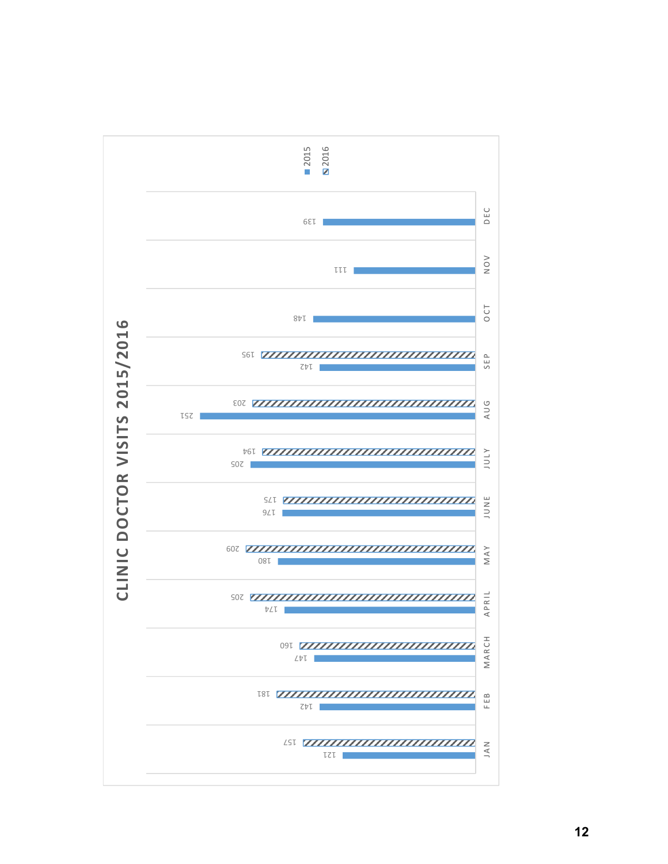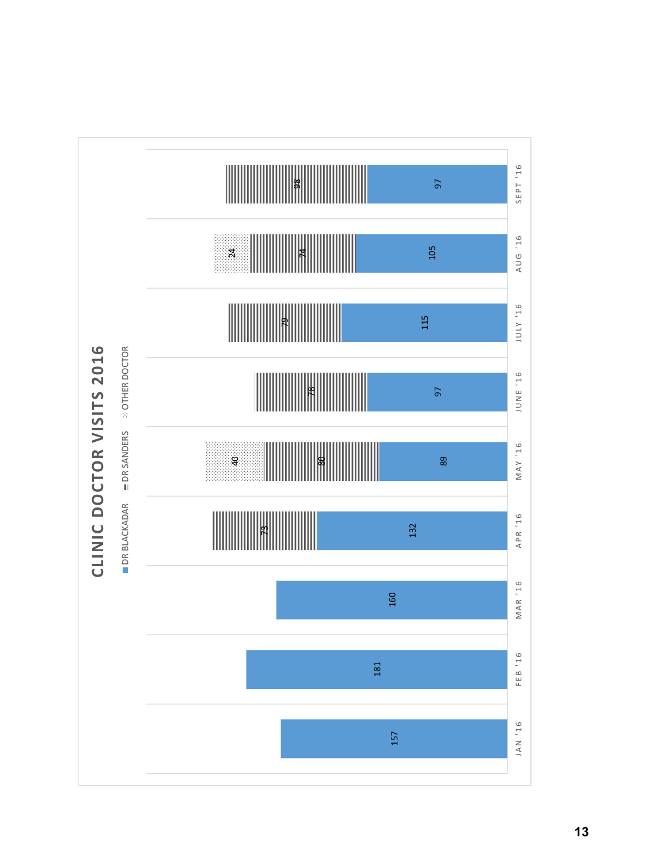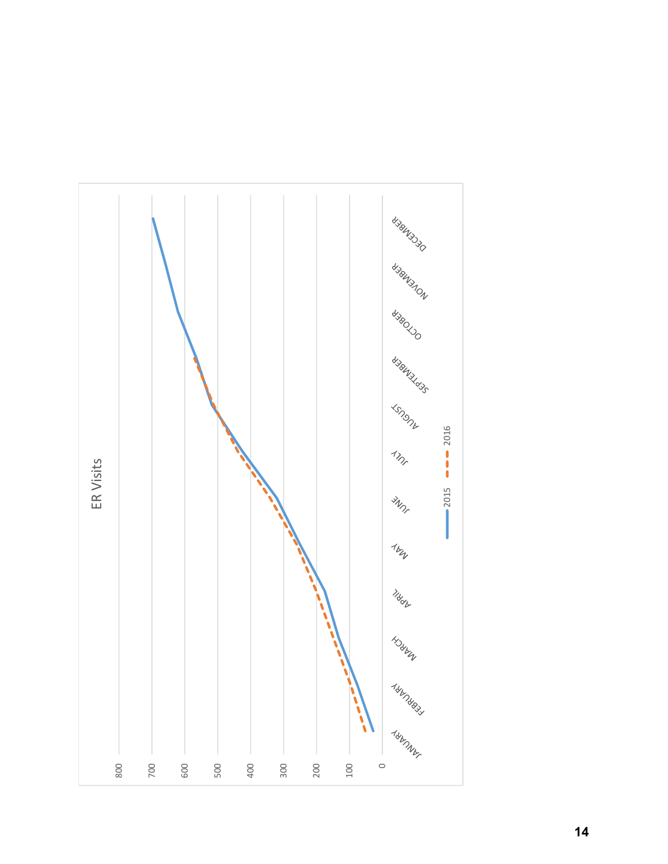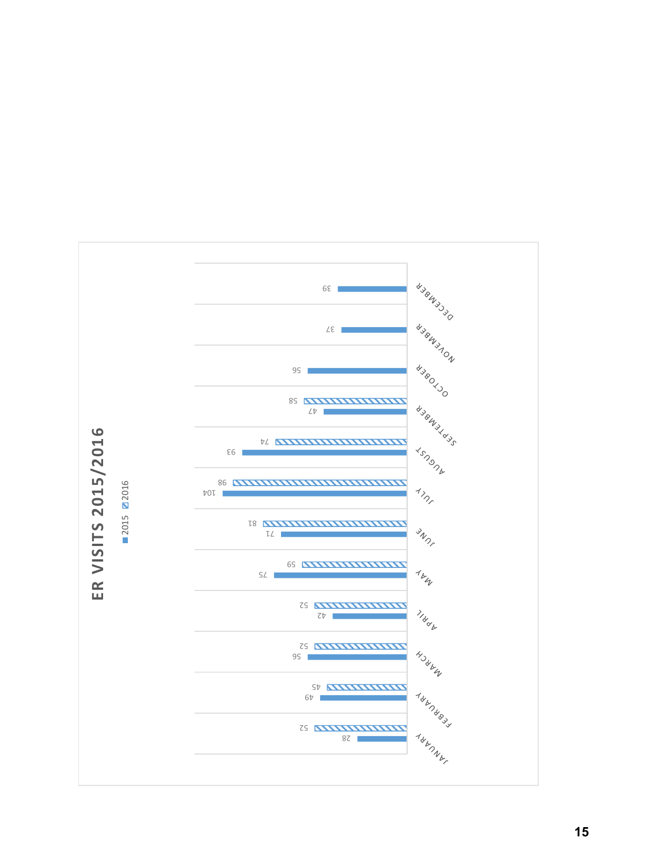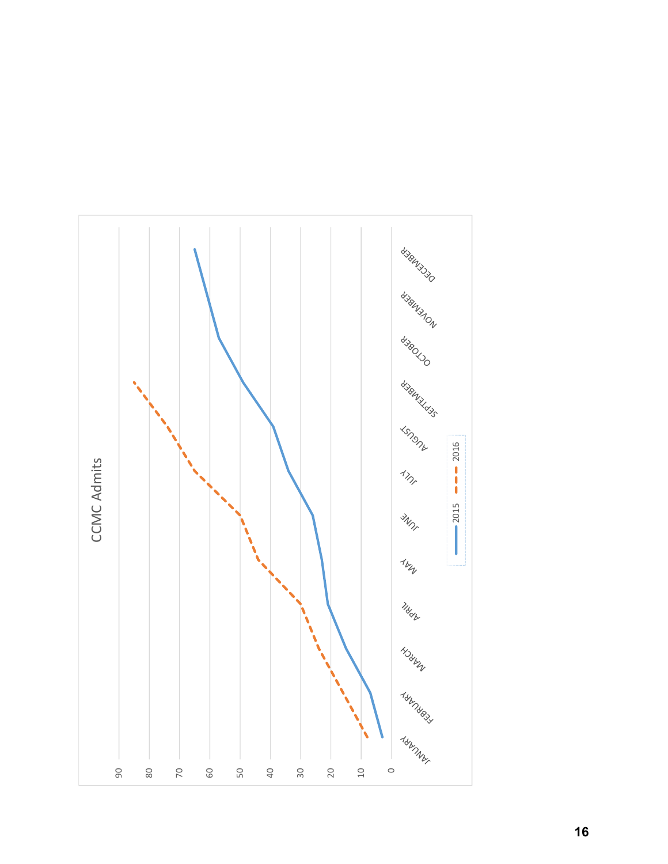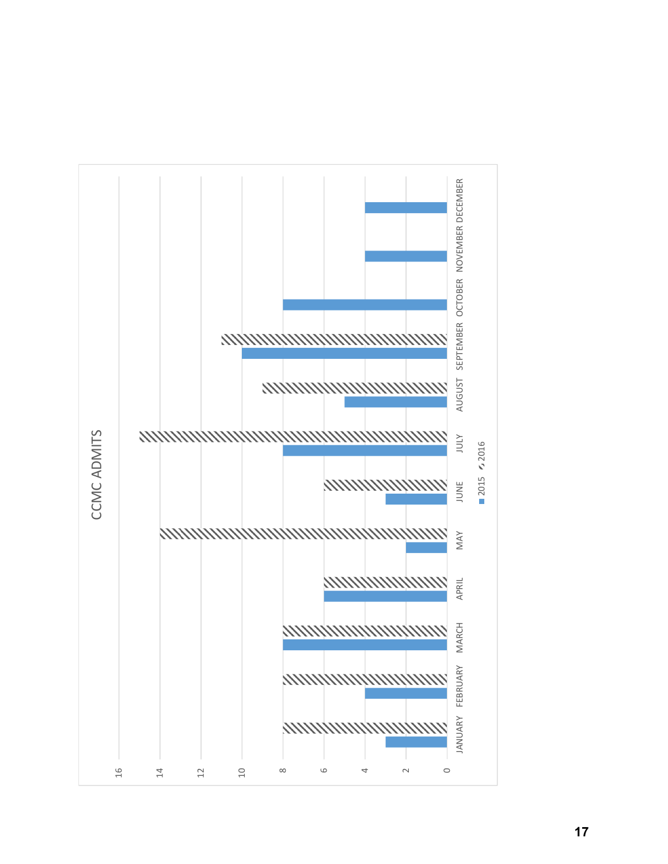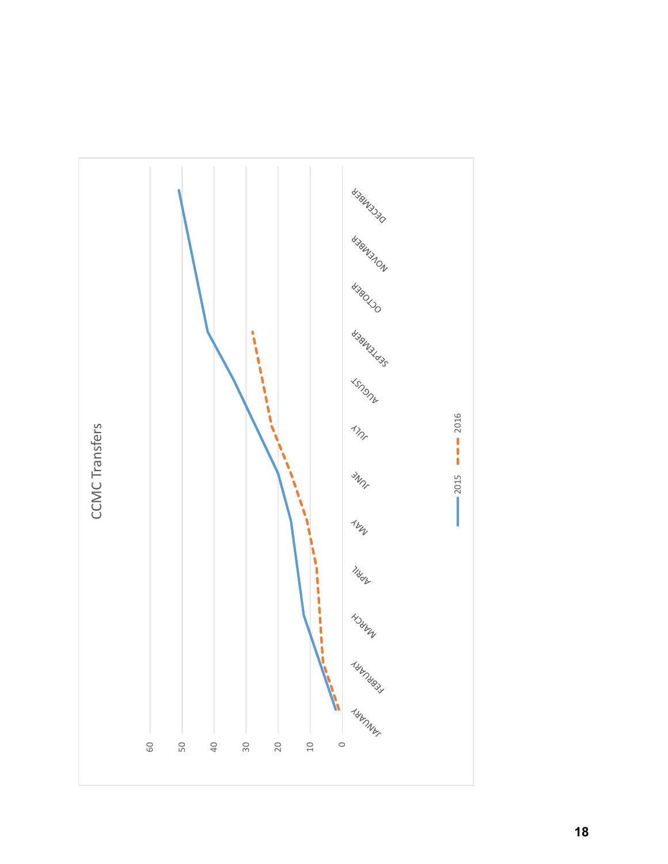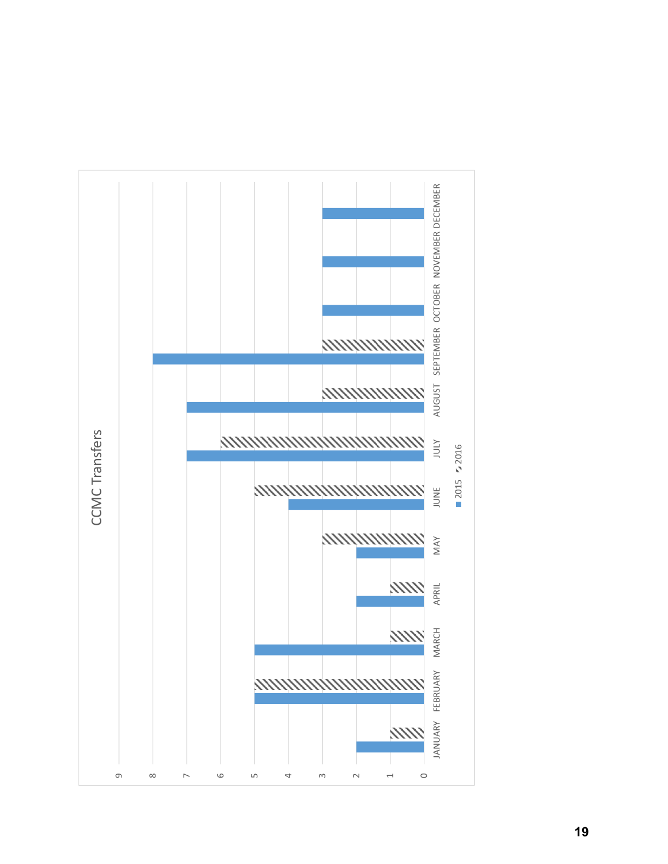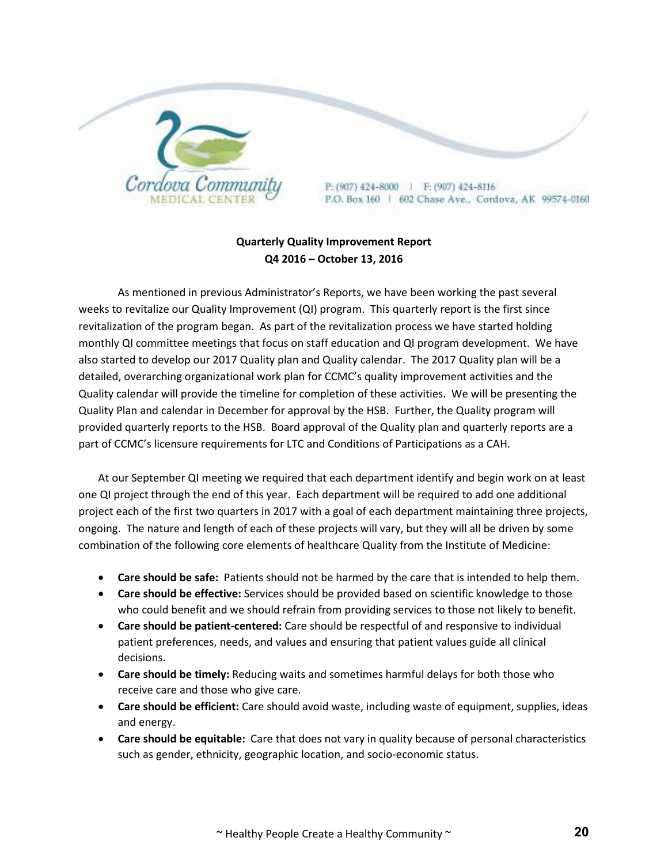

#### **Quarterly Quality Improvement Report Q4 2016 – October 13, 2016**

As mentioned in previous Administrator's Reports, we have been working the past several weeks to revitalize our Quality Improvement (QI) program. This quarterly report is the first since revitalization of the program began. As part of the revitalization process we have started holding monthly QI committee meetings that focus on staff education and QI program development. We have also started to develop our 2017 Quality plan and Quality calendar. The 2017 Quality plan will be a detailed, overarching organizational work plan for CCMC's quality improvement activities and the Quality calendar will provide the timeline for completion of these activities. We will be presenting the Quality Plan and calendar in December for approval by the HSB. Further, the Quality program will provided quarterly reports to the HSB. Board approval of the Quality plan and quarterly reports are a part of CCMC's licensure requirements for LTC and Conditions of Participations as a CAH.

At our September QI meeting we required that each department identify and begin work on at least one QI project through the end of this year. Each department will be required to add one additional project each of the first two quarters in 2017 with a goal of each department maintaining three projects, ongoing. The nature and length of each of these projects will vary, but they will all be driven by some combination of the following core elements of healthcare Quality from the Institute of Medicine:

- **Care should be safe:** Patients should not be harmed by the care that is intended to help them.
- **Care should be effective:** Services should be provided based on scientific knowledge to those who could benefit and we should refrain from providing services to those not likely to benefit.
- **Care should be patient-centered:** Care should be respectful of and responsive to individual patient preferences, needs, and values and ensuring that patient values guide all clinical decisions.
- **Care should be timely:** Reducing waits and sometimes harmful delays for both those who receive care and those who give care.
- **Care should be efficient:** Care should avoid waste, including waste of equipment, supplies, ideas and energy.
- **Care should be equitable:** Care that does not vary in quality because of personal characteristics such as gender, ethnicity, geographic location, and socio-economic status.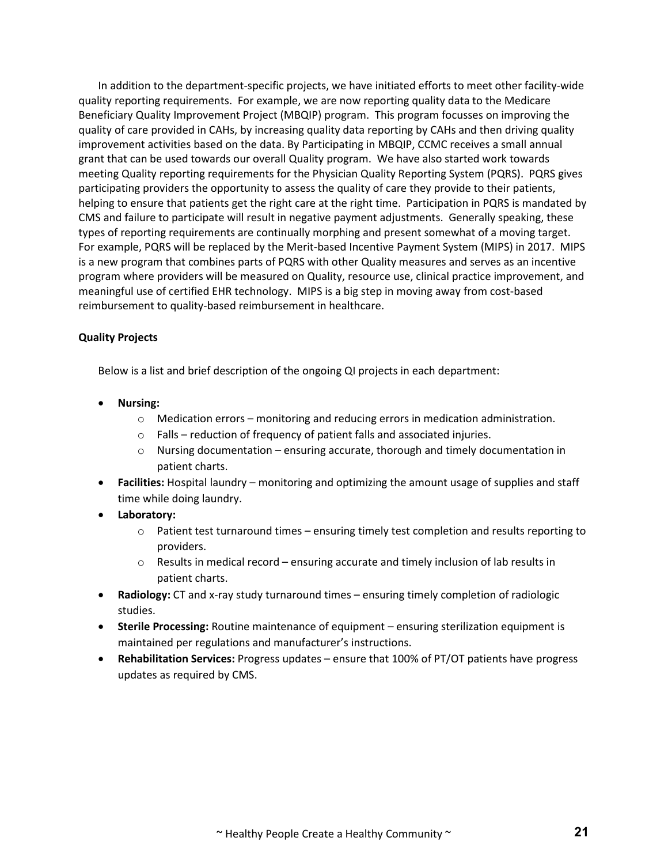In addition to the department-specific projects, we have initiated efforts to meet other facility-wide quality reporting requirements. For example, we are now reporting quality data to the Medicare Beneficiary Quality Improvement Project (MBQIP) program. This program focusses on improving the quality of care provided in CAHs, by increasing quality data reporting by CAHs and then driving quality improvement activities based on the data. By Participating in MBQIP, CCMC receives a small annual grant that can be used towards our overall Quality program. We have also started work towards meeting Quality reporting requirements for the Physician Quality Reporting System (PQRS). PQRS gives participating providers the opportunity to assess the quality of care they provide to their patients, helping to ensure that patients get the right care at the right time. Participation in PQRS is mandated by CMS and failure to participate will result in negative payment adjustments. Generally speaking, these types of reporting requirements are continually morphing and present somewhat of a moving target. For example, PQRS will be replaced by the Merit-based Incentive Payment System (MIPS) in 2017. MIPS is a new program that combines parts of PQRS with other Quality measures and serves as an incentive program where providers will be measured on Quality, resource use, clinical practice improvement, and meaningful use of certified EHR technology. MIPS is a big step in moving away from cost-based reimbursement to quality-based reimbursement in healthcare.

#### **Quality Projects**

Below is a list and brief description of the ongoing QI projects in each department:

- **Nursing:** 
	- $\circ$  Medication errors monitoring and reducing errors in medication administration.
	- $\circ$  Falls reduction of frequency of patient falls and associated injuries.
	- $\circ$  Nursing documentation ensuring accurate, thorough and timely documentation in patient charts.
- **Facilities:** Hospital laundry monitoring and optimizing the amount usage of supplies and staff time while doing laundry.
- **Laboratory:** 
	- $\circ$  Patient test turnaround times ensuring timely test completion and results reporting to providers.
	- $\circ$  Results in medical record ensuring accurate and timely inclusion of lab results in patient charts.
- **Radiology:** CT and x-ray study turnaround times ensuring timely completion of radiologic studies.
- **Sterile Processing:** Routine maintenance of equipment ensuring sterilization equipment is maintained per regulations and manufacturer's instructions.
- **Rehabilitation Services:** Progress updates ensure that 100% of PT/OT patients have progress updates as required by CMS.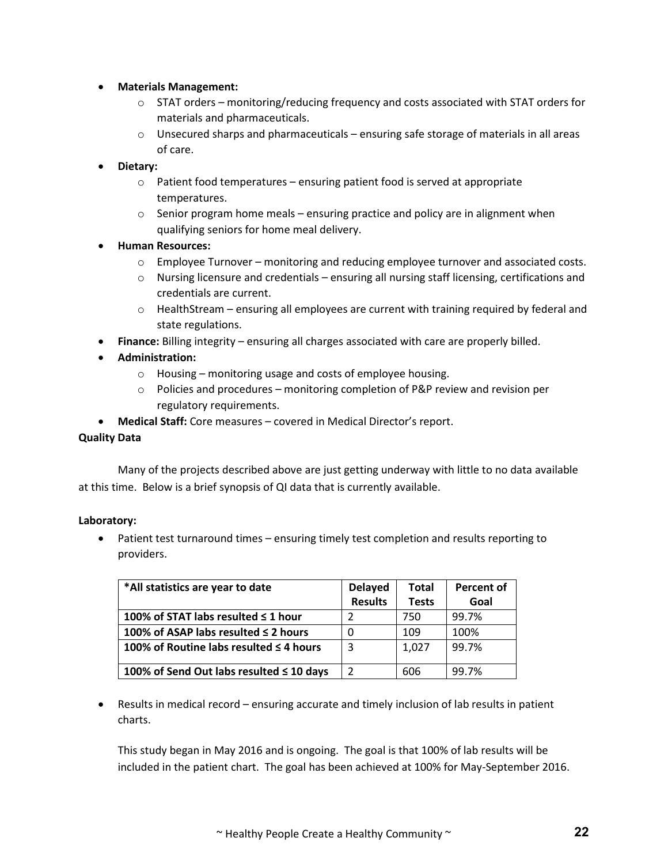- **Materials Management:** 
	- $\circ$  STAT orders monitoring/reducing frequency and costs associated with STAT orders for materials and pharmaceuticals.
	- $\circ$  Unsecured sharps and pharmaceuticals ensuring safe storage of materials in all areas of care.
- **Dietary:** 
	- $\circ$  Patient food temperatures ensuring patient food is served at appropriate temperatures.
	- $\circ$  Senior program home meals ensuring practice and policy are in alignment when qualifying seniors for home meal delivery.
- **Human Resources:** 
	- $\circ$  Employee Turnover monitoring and reducing employee turnover and associated costs.
	- Nursing licensure and credentials ensuring all nursing staff licensing, certifications and credentials are current.
	- $\circ$  HealthStream ensuring all employees are current with training required by federal and state regulations.
- **Finance:** Billing integrity ensuring all charges associated with care are properly billed.
- **Administration:** 
	- Housing monitoring usage and costs of employee housing.
	- Policies and procedures monitoring completion of P&P review and revision per regulatory requirements.
- **Medical Staff:** Core measures covered in Medical Director's report.

#### **Quality Data**

Many of the projects described above are just getting underway with little to no data available at this time. Below is a brief synopsis of QI data that is currently available.

#### **Laboratory:**

 Patient test turnaround times – ensuring timely test completion and results reporting to providers.

| *All statistics are year to date         | <b>Delayed</b> | <b>Total</b> | <b>Percent of</b> |
|------------------------------------------|----------------|--------------|-------------------|
|                                          | <b>Results</b> | <b>Tests</b> | Goal              |
| 100% of STAT labs resulted $\leq$ 1 hour |                | 750          | 99.7%             |
| 100% of ASAP labs resulted ≤ 2 hours     |                | 109          | 100%              |
| 100% of Routine labs resulted ≤ 4 hours  | 3              | 1,027        | 99.7%             |
| 100% of Send Out labs resulted ≤ 10 days |                | 606          | 99.7%             |

 Results in medical record – ensuring accurate and timely inclusion of lab results in patient charts.

This study began in May 2016 and is ongoing. The goal is that 100% of lab results will be included in the patient chart. The goal has been achieved at 100% for May-September 2016.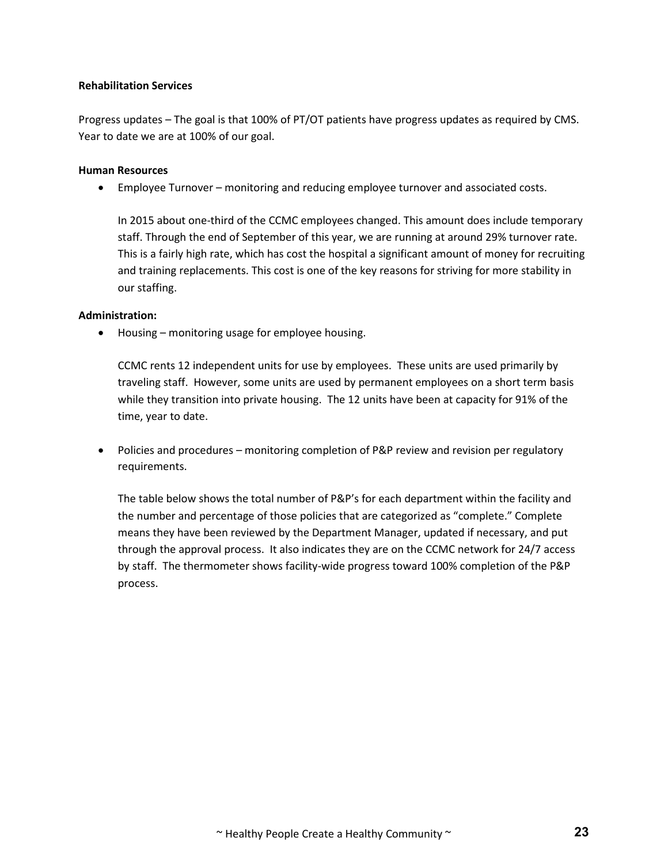#### **Rehabilitation Services**

Progress updates – The goal is that 100% of PT/OT patients have progress updates as required by CMS. Year to date we are at 100% of our goal.

#### **Human Resources**

Employee Turnover – monitoring and reducing employee turnover and associated costs.

In 2015 about one-third of the CCMC employees changed. This amount does include temporary staff. Through the end of September of this year, we are running at around 29% turnover rate. This is a fairly high rate, which has cost the hospital a significant amount of money for recruiting and training replacements. This cost is one of the key reasons for striving for more stability in our staffing.

#### **Administration:**

• Housing – monitoring usage for employee housing.

CCMC rents 12 independent units for use by employees. These units are used primarily by traveling staff. However, some units are used by permanent employees on a short term basis while they transition into private housing. The 12 units have been at capacity for 91% of the time, year to date.

• Policies and procedures – monitoring completion of P&P review and revision per regulatory requirements.

The table below shows the total number of P&P's for each department within the facility and the number and percentage of those policies that are categorized as "complete." Complete means they have been reviewed by the Department Manager, updated if necessary, and put through the approval process. It also indicates they are on the CCMC network for 24/7 access by staff. The thermometer shows facility-wide progress toward 100% completion of the P&P process.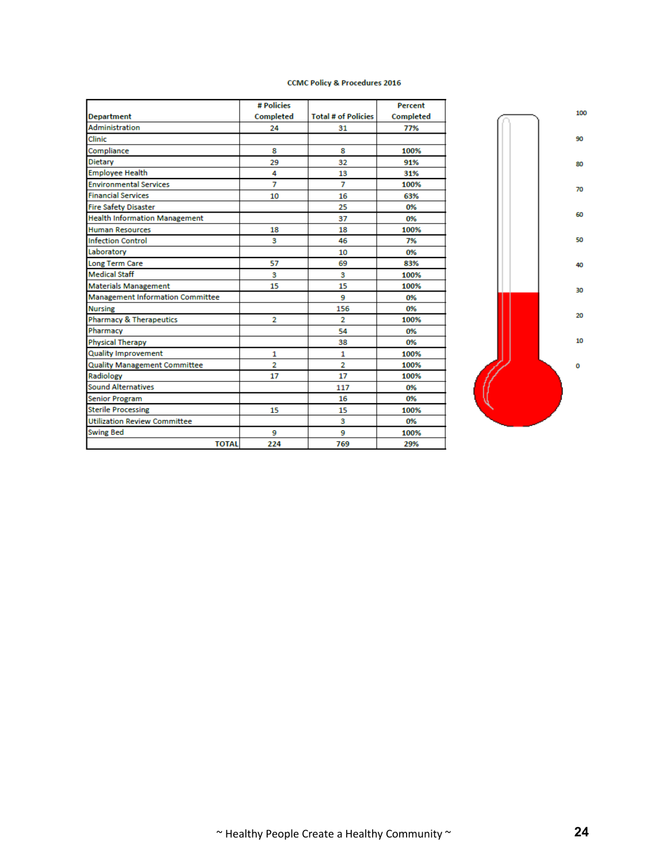|                                         | # Policies       |                            | Percent          |
|-----------------------------------------|------------------|----------------------------|------------------|
| <b>Department</b>                       | <b>Completed</b> | <b>Total # of Policies</b> | <b>Completed</b> |
| <b>Administration</b>                   | 24               | 31                         | 77%              |
| Clinic                                  |                  |                            |                  |
| Compliance                              | 8                | 8                          | 100%             |
| <b>Dietary</b>                          | 29               | 32                         | 91%              |
| <b>Employee Health</b>                  | 4                | 13                         | 31%              |
| <b>Environmental Services</b>           | $\overline{7}$   | $\overline{7}$             | 100%             |
| <b>Financial Services</b>               | 10               | 16                         | 63%              |
| <b>Fire Safety Disaster</b>             |                  | 25                         | 0%               |
| <b>Health Information Management</b>    |                  | 37                         | 0%               |
| <b>Human Resources</b>                  | 18               | 18                         | 100%             |
| <b>Infection Control</b>                | 3                | 46                         | 7%               |
| Laboratory                              |                  | 10                         | 0%               |
| <b>Long Term Care</b>                   | 57               | 69                         | 83%              |
| <b>Medical Staff</b>                    | 3                | 3                          | 100%             |
| <b>Materials Management</b>             | 15               | 15                         | 100%             |
| <b>Management Information Committee</b> |                  | 9                          | 0%               |
| <b>Nursing</b>                          |                  | 156                        | 0%               |
| <b>Pharmacy &amp; Therapeutics</b>      | $\overline{2}$   | $\overline{2}$             | 100%             |
| Pharmacy                                |                  | 54                         | 0%               |
| <b>Physical Therapy</b>                 |                  | 38                         | 0%               |
| <b>Quality Improvement</b>              | 1                | 1                          | 100%             |
| <b>Quality Management Committee</b>     | $\overline{2}$   | $\overline{2}$             | 100%             |
| Radiology                               | 17               | 17                         | 100%             |
| <b>Sound Alternatives</b>               |                  | 117                        | 0%               |
| <b>Senior Program</b>                   |                  | 16                         | 0%               |
| <b>Sterile Processing</b>               | 15               | 15                         | 100%             |
| <b>Utilization Review Committee</b>     |                  | з                          | 0%               |
| <b>Swing Bed</b>                        | 9                | 9                          | 100%             |
| <b>TOTAL</b>                            | 224              | 769                        | 29%              |

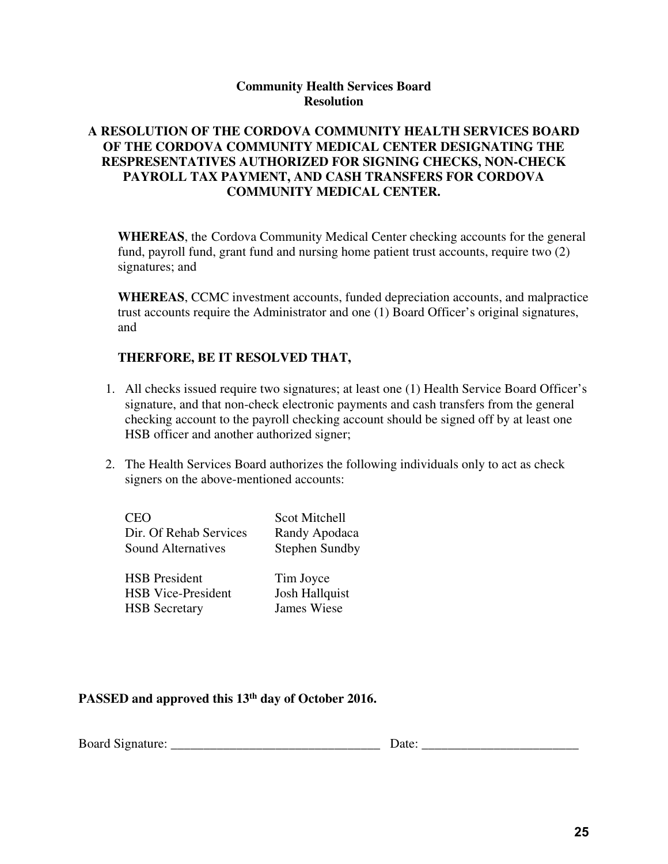### **Community Health Services Board Resolution**

### **A RESOLUTION OF THE CORDOVA COMMUNITY HEALTH SERVICES BOARD OF THE CORDOVA COMMUNITY MEDICAL CENTER DESIGNATING THE RESPRESENTATIVES AUTHORIZED FOR SIGNING CHECKS, NON-CHECK PAYROLL TAX PAYMENT, AND CASH TRANSFERS FOR CORDOVA COMMUNITY MEDICAL CENTER.**

**WHEREAS**, the Cordova Community Medical Center checking accounts for the general fund, payroll fund, grant fund and nursing home patient trust accounts, require two (2) signatures; and

**WHEREAS**, CCMC investment accounts, funded depreciation accounts, and malpractice trust accounts require the Administrator and one (1) Board Officer's original signatures, and

#### **THERFORE, BE IT RESOLVED THAT,**

- 1. All checks issued require two signatures; at least one (1) Health Service Board Officer's signature, and that non-check electronic payments and cash transfers from the general checking account to the payroll checking account should be signed off by at least one HSB officer and another authorized signer;
- 2. The Health Services Board authorizes the following individuals only to act as check signers on the above-mentioned accounts:

| <b>CEO</b>                | Scot Mitchell         |
|---------------------------|-----------------------|
| Dir. Of Rehab Services    | Randy Apodaca         |
| <b>Sound Alternatives</b> | <b>Stephen Sundby</b> |
|                           |                       |
| <b>HSB</b> President      | Tim Joyce             |
| <b>HSB</b> Vice-President | <b>Josh Hallquist</b> |
| <b>HSB</b> Secretary      | James Wiese           |
|                           |                       |

## **PASSED and approved this 13th day of October 2016.**

| <b>Board</b> S<br>Signature: |  | ы. |  |
|------------------------------|--|----|--|
|------------------------------|--|----|--|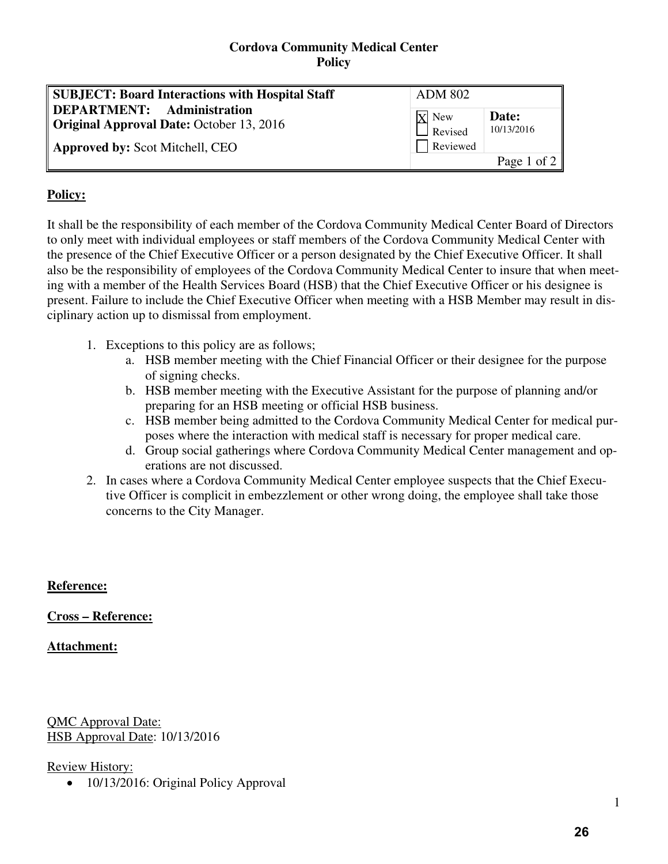#### **Cordova Community Medical Center Policy**

| <b>SUBJECT: Board Interactions with Hospital Staff</b>                               | <b>ADM 802</b>            |                     |
|--------------------------------------------------------------------------------------|---------------------------|---------------------|
| <b>DEPARTMENT:</b> Administration<br><b>Original Approval Date: October 13, 2016</b> | $X$ New<br>$\Box$ Revised | Date:<br>10/13/2016 |
| <b>Approved by: Scot Mitchell, CEO</b>                                               | Reviewed                  |                     |
|                                                                                      |                           | Page 1 of 2         |

# **Policy:**

It shall be the responsibility of each member of the Cordova Community Medical Center Board of Directors to only meet with individual employees or staff members of the Cordova Community Medical Center with the presence of the Chief Executive Officer or a person designated by the Chief Executive Officer. It shall also be the responsibility of employees of the Cordova Community Medical Center to insure that when meeting with a member of the Health Services Board (HSB) that the Chief Executive Officer or his designee is present. Failure to include the Chief Executive Officer when meeting with a HSB Member may result in disciplinary action up to dismissal from employment.

- 1. Exceptions to this policy are as follows;
	- a. HSB member meeting with the Chief Financial Officer or their designee for the purpose of signing checks.
	- b. HSB member meeting with the Executive Assistant for the purpose of planning and/or preparing for an HSB meeting or official HSB business.
	- c. HSB member being admitted to the Cordova Community Medical Center for medical purposes where the interaction with medical staff is necessary for proper medical care.
	- d. Group social gatherings where Cordova Community Medical Center management and operations are not discussed.
- 2. In cases where a Cordova Community Medical Center employee suspects that the Chief Executive Officer is complicit in embezzlement or other wrong doing, the employee shall take those concerns to the City Manager.

## **Reference:**

## **Cross – Reference:**

## **Attachment:**

QMC Approval Date: HSB Approval Date: 10/13/2016

## Review History:

• 10/13/2016: Original Policy Approval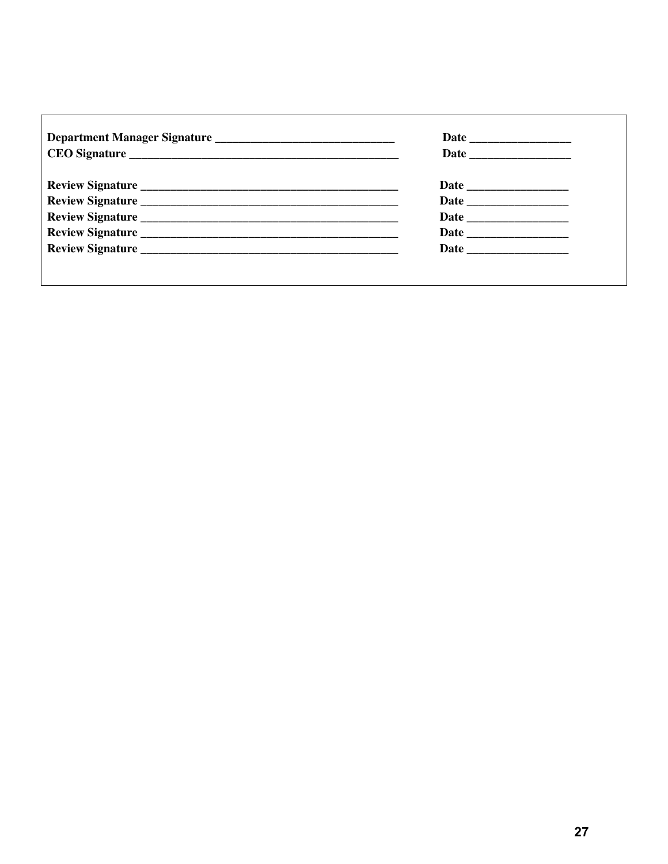<u> 1989 - Jan Samuel Barbara, martin da shekarar 1980 - André a Santa Barbara, mashrida a tsarinin da shekara</u>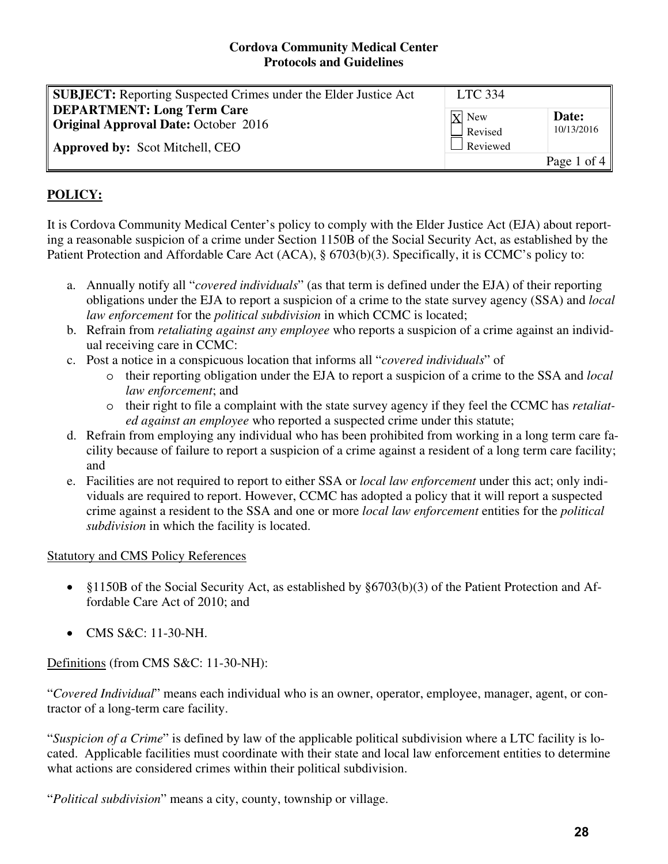| <b>SUBJECT:</b> Reporting Suspected Crimes under the Elder Justice Act | <b>LTC 334</b>     |             |
|------------------------------------------------------------------------|--------------------|-------------|
| <b>DEPARTMENT: Long Term Care</b>                                      | $\overline{X}$ New | Date:       |
| <b>Original Approval Date: October 2016</b>                            | $\Box$ Revised     | 10/13/2016  |
| Approved by: Scot Mitchell, CEO                                        | $\Box$ Reviewed    |             |
|                                                                        |                    | Page 1 of 4 |

# **POLICY:**

It is Cordova Community Medical Center's policy to comply with the Elder Justice Act (EJA) about reporting a reasonable suspicion of a crime under Section 1150B of the Social Security Act, as established by the Patient Protection and Affordable Care Act (ACA), § 6703(b)(3). Specifically, it is CCMC's policy to:

- a. Annually notify all "*covered individuals*" (as that term is defined under the EJA) of their reporting obligations under the EJA to report a suspicion of a crime to the state survey agency (SSA) and *local law enforcement* for the *political subdivision* in which CCMC is located;
- b. Refrain from *retaliating against any employee* who reports a suspicion of a crime against an individual receiving care in CCMC:
- c. Post a notice in a conspicuous location that informs all "*covered individuals*" of
	- o their reporting obligation under the EJA to report a suspicion of a crime to the SSA and *local law enforcement*; and
	- o their right to file a complaint with the state survey agency if they feel the CCMC has *retaliated against an employee* who reported a suspected crime under this statute;
- d. Refrain from employing any individual who has been prohibited from working in a long term care facility because of failure to report a suspicion of a crime against a resident of a long term care facility; and
- e. Facilities are not required to report to either SSA or *local law enforcement* under this act; only individuals are required to report. However, CCMC has adopted a policy that it will report a suspected crime against a resident to the SSA and one or more *local law enforcement* entities for the *political subdivision* in which the facility is located.

## Statutory and CMS Policy References

- §1150B of the Social Security Act, as established by §6703(b)(3) of the Patient Protection and Affordable Care Act of 2010; and
- CMS S&C: 11-30-NH.

Definitions (from CMS S&C: 11-30-NH):

"*Covered Individual*" means each individual who is an owner, operator, employee, manager, agent, or contractor of a long-term care facility.

"*Suspicion of a Crime*" is defined by law of the applicable political subdivision where a LTC facility is located. Applicable facilities must coordinate with their state and local law enforcement entities to determine what actions are considered crimes within their political subdivision.

"*Political subdivision*" means a city, county, township or village.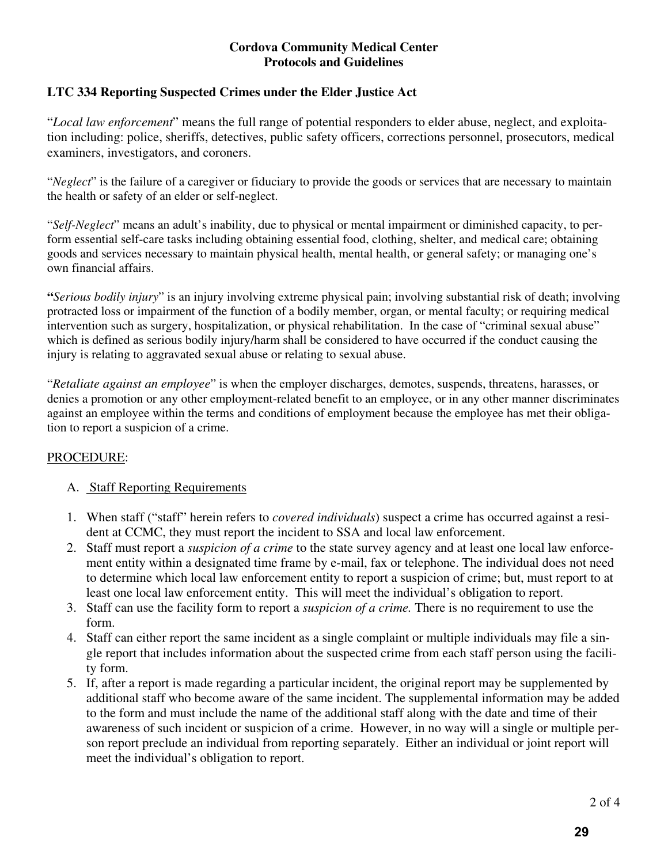# **LTC 334 Reporting Suspected Crimes under the Elder Justice Act**

"*Local law enforcement*" means the full range of potential responders to elder abuse, neglect, and exploitation including: police, sheriffs, detectives, public safety officers, corrections personnel, prosecutors, medical examiners, investigators, and coroners.

"*Neglect*" is the failure of a caregiver or fiduciary to provide the goods or services that are necessary to maintain the health or safety of an elder or self-neglect.

"*Self-Neglect*" means an adult's inability, due to physical or mental impairment or diminished capacity, to perform essential self-care tasks including obtaining essential food, clothing, shelter, and medical care; obtaining goods and services necessary to maintain physical health, mental health, or general safety; or managing one's own financial affairs.

**"***Serious bodily injury*" is an injury involving extreme physical pain; involving substantial risk of death; involving protracted loss or impairment of the function of a bodily member, organ, or mental faculty; or requiring medical intervention such as surgery, hospitalization, or physical rehabilitation. In the case of "criminal sexual abuse" which is defined as serious bodily injury/harm shall be considered to have occurred if the conduct causing the injury is relating to aggravated sexual abuse or relating to sexual abuse.

"*Retaliate against an employee*" is when the employer discharges, demotes, suspends, threatens, harasses, or denies a promotion or any other employment-related benefit to an employee, or in any other manner discriminates against an employee within the terms and conditions of employment because the employee has met their obligation to report a suspicion of a crime.

## PROCEDURE:

## A. Staff Reporting Requirements

- 1. When staff ("staff" herein refers to *covered individuals*) suspect a crime has occurred against a resident at CCMC, they must report the incident to SSA and local law enforcement.
- 2. Staff must report a *suspicion of a crime* to the state survey agency and at least one local law enforcement entity within a designated time frame by e-mail, fax or telephone. The individual does not need to determine which local law enforcement entity to report a suspicion of crime; but, must report to at least one local law enforcement entity. This will meet the individual's obligation to report.
- 3. Staff can use the facility form to report a *suspicion of a crime.* There is no requirement to use the form.
- 4. Staff can either report the same incident as a single complaint or multiple individuals may file a single report that includes information about the suspected crime from each staff person using the facility form.
- 5. If, after a report is made regarding a particular incident, the original report may be supplemented by additional staff who become aware of the same incident. The supplemental information may be added to the form and must include the name of the additional staff along with the date and time of their awareness of such incident or suspicion of a crime. However, in no way will a single or multiple person report preclude an individual from reporting separately. Either an individual or joint report will meet the individual's obligation to report.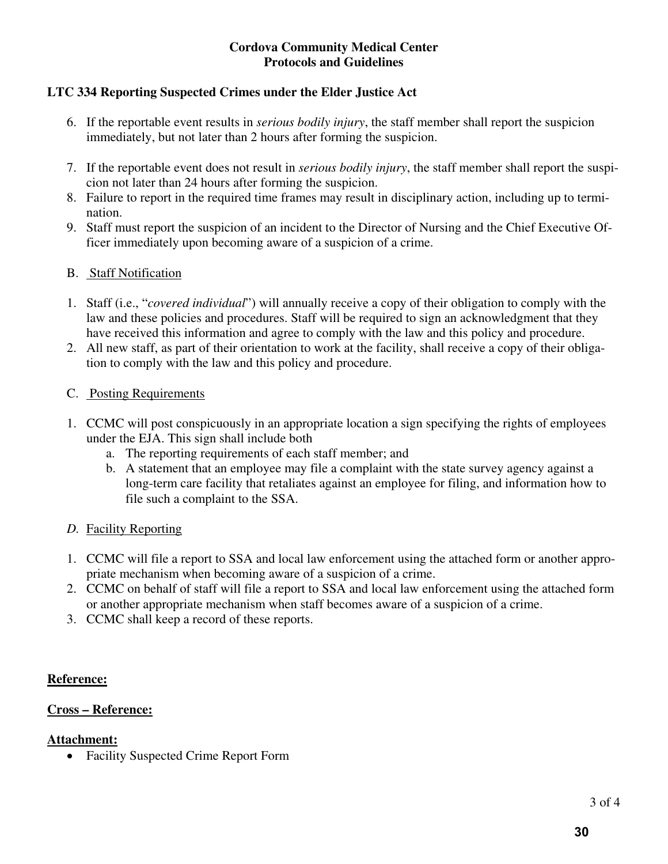# **LTC 334 Reporting Suspected Crimes under the Elder Justice Act**

- 6. If the reportable event results in *serious bodily injury*, the staff member shall report the suspicion immediately, but not later than 2 hours after forming the suspicion.
- 7. If the reportable event does not result in *serious bodily injury*, the staff member shall report the suspicion not later than 24 hours after forming the suspicion.
- 8. Failure to report in the required time frames may result in disciplinary action, including up to termination.
- 9. Staff must report the suspicion of an incident to the Director of Nursing and the Chief Executive Officer immediately upon becoming aware of a suspicion of a crime.

# B. Staff Notification

- 1. Staff (i.e., "*covered individual*") will annually receive a copy of their obligation to comply with the law and these policies and procedures. Staff will be required to sign an acknowledgment that they have received this information and agree to comply with the law and this policy and procedure.
- 2. All new staff, as part of their orientation to work at the facility, shall receive a copy of their obligation to comply with the law and this policy and procedure.

## C. Posting Requirements

- 1. CCMC will post conspicuously in an appropriate location a sign specifying the rights of employees under the EJA. This sign shall include both
	- a. The reporting requirements of each staff member; and
	- b. A statement that an employee may file a complaint with the state survey agency against a long-term care facility that retaliates against an employee for filing, and information how to file such a complaint to the SSA.

## *D.* Facility Reporting

- 1. CCMC will file a report to SSA and local law enforcement using the attached form or another appropriate mechanism when becoming aware of a suspicion of a crime.
- 2. CCMC on behalf of staff will file a report to SSA and local law enforcement using the attached form or another appropriate mechanism when staff becomes aware of a suspicion of a crime.
- 3. CCMC shall keep a record of these reports.

## **Reference:**

## **Cross – Reference:**

## **Attachment:**

Facility Suspected Crime Report Form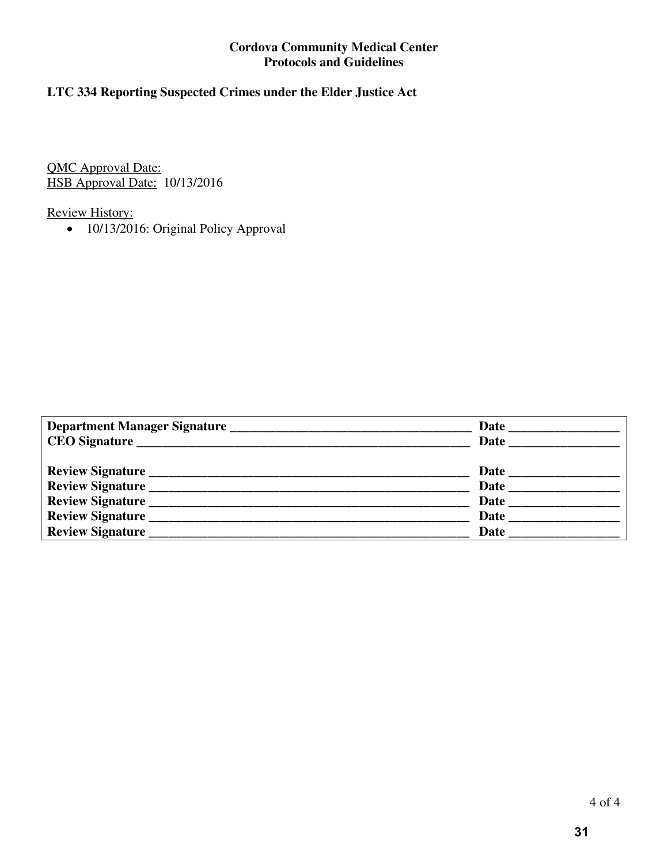# **LTC 334 Reporting Suspected Crimes under the Elder Justice Act**

QMC Approval Date: HSB Approval Date: 10/13/2016

# Review History:

• 10/13/2016: Original Policy Approval

|                  | <b>Date</b> |
|------------------|-------------|
|                  | Date        |
|                  |             |
|                  |             |
| Review Signature | <b>Date</b> |
|                  | <b>Date</b> |
|                  | Date        |
|                  | Date        |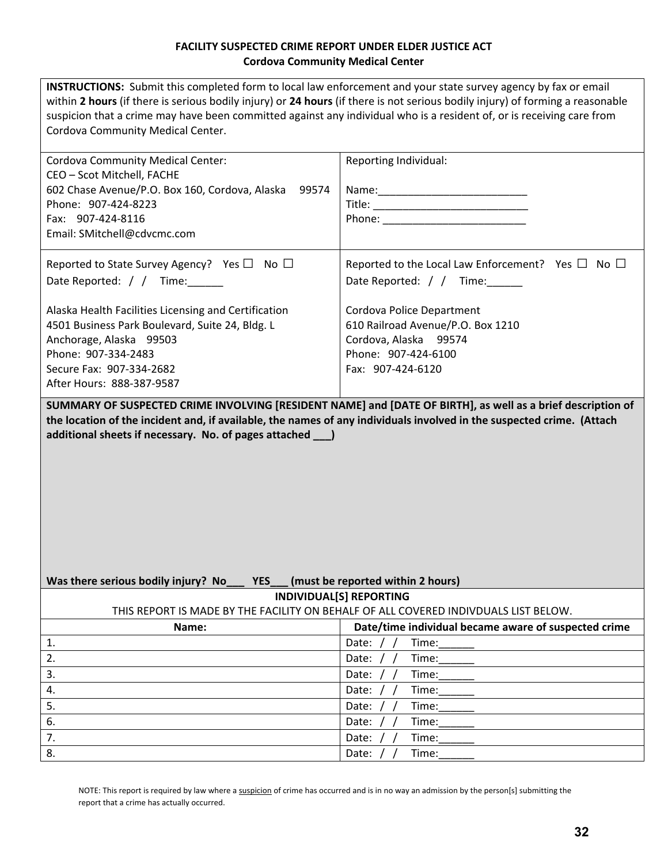#### **FACILITY SUSPECTED CRIME REPORT UNDER ELDER JUSTICE ACT Cordova Community Medical Center**

| <b>INSTRUCTIONS:</b> Submit this completed form to local law enforcement and your state survey agency by fax or email                                                                                                                                   |                                                                                                             |  |  |  |  |
|---------------------------------------------------------------------------------------------------------------------------------------------------------------------------------------------------------------------------------------------------------|-------------------------------------------------------------------------------------------------------------|--|--|--|--|
| within 2 hours (if there is serious bodily injury) or 24 hours (if there is not serious bodily injury) of forming a reasonable<br>suspicion that a crime may have been committed against any individual who is a resident of, or is receiving care from |                                                                                                             |  |  |  |  |
|                                                                                                                                                                                                                                                         |                                                                                                             |  |  |  |  |
| Cordova Community Medical Center.                                                                                                                                                                                                                       |                                                                                                             |  |  |  |  |
|                                                                                                                                                                                                                                                         |                                                                                                             |  |  |  |  |
| <b>Cordova Community Medical Center:</b>                                                                                                                                                                                                                | Reporting Individual:                                                                                       |  |  |  |  |
| CEO - Scot Mitchell, FACHE                                                                                                                                                                                                                              |                                                                                                             |  |  |  |  |
| 602 Chase Avenue/P.O. Box 160, Cordova, Alaska 99574                                                                                                                                                                                                    |                                                                                                             |  |  |  |  |
| Phone: 907-424-8223                                                                                                                                                                                                                                     |                                                                                                             |  |  |  |  |
| Fax: 907-424-8116                                                                                                                                                                                                                                       |                                                                                                             |  |  |  |  |
| Email: SMitchell@cdvcmc.com                                                                                                                                                                                                                             |                                                                                                             |  |  |  |  |
| Reported to State Survey Agency? Yes $\Box$ No $\Box$                                                                                                                                                                                                   | Reported to the Local Law Enforcement? Yes $\Box$ No $\Box$                                                 |  |  |  |  |
|                                                                                                                                                                                                                                                         |                                                                                                             |  |  |  |  |
| Date Reported: / / Time:                                                                                                                                                                                                                                | Date Reported: / / Time:                                                                                    |  |  |  |  |
| Alaska Health Facilities Licensing and Certification                                                                                                                                                                                                    | Cordova Police Department                                                                                   |  |  |  |  |
| 4501 Business Park Boulevard, Suite 24, Bldg. L                                                                                                                                                                                                         | 610 Railroad Avenue/P.O. Box 1210                                                                           |  |  |  |  |
| Anchorage, Alaska 99503                                                                                                                                                                                                                                 | Cordova, Alaska 99574                                                                                       |  |  |  |  |
| Phone: 907-334-2483                                                                                                                                                                                                                                     | Phone: 907-424-6100                                                                                         |  |  |  |  |
| Secure Fax: 907-334-2682                                                                                                                                                                                                                                | Fax: 907-424-6120                                                                                           |  |  |  |  |
| After Hours: 888-387-9587                                                                                                                                                                                                                               |                                                                                                             |  |  |  |  |
|                                                                                                                                                                                                                                                         | SUMMARY OF SUSPECTED CRIME INVOLVING [RESIDENT NAME] and [DATE OF BIRTH], as well as a brief description of |  |  |  |  |
| the location of the incident and, if available, the names of any individuals involved in the suspected crime. (Attach<br>additional sheets if necessary. No. of pages attached ____)                                                                    |                                                                                                             |  |  |  |  |
|                                                                                                                                                                                                                                                         |                                                                                                             |  |  |  |  |
| Was there serious bodily injury? No<br><b>YES</b><br>(must be reported within 2 hours)                                                                                                                                                                  |                                                                                                             |  |  |  |  |
|                                                                                                                                                                                                                                                         |                                                                                                             |  |  |  |  |
|                                                                                                                                                                                                                                                         | <b>INDIVIDUAL[S] REPORTING</b>                                                                              |  |  |  |  |
|                                                                                                                                                                                                                                                         | THIS REPORT IS MADE BY THE FACILITY ON BEHALF OF ALL COVERED INDIVDUALS LIST BELOW.                         |  |  |  |  |
| Name:                                                                                                                                                                                                                                                   | Date/time individual became aware of suspected crime                                                        |  |  |  |  |
| 1.                                                                                                                                                                                                                                                      | Date: $/$ /<br>Time:                                                                                        |  |  |  |  |
| 2.                                                                                                                                                                                                                                                      | Date:<br>Time:                                                                                              |  |  |  |  |
| 3.                                                                                                                                                                                                                                                      | Date:<br>Time:                                                                                              |  |  |  |  |
| 4.                                                                                                                                                                                                                                                      | Time:<br>Date:                                                                                              |  |  |  |  |
| 5.                                                                                                                                                                                                                                                      | Date:<br>Time:                                                                                              |  |  |  |  |
| 6.<br>7.                                                                                                                                                                                                                                                | Time:<br>Date:<br>Date:<br>Time:                                                                            |  |  |  |  |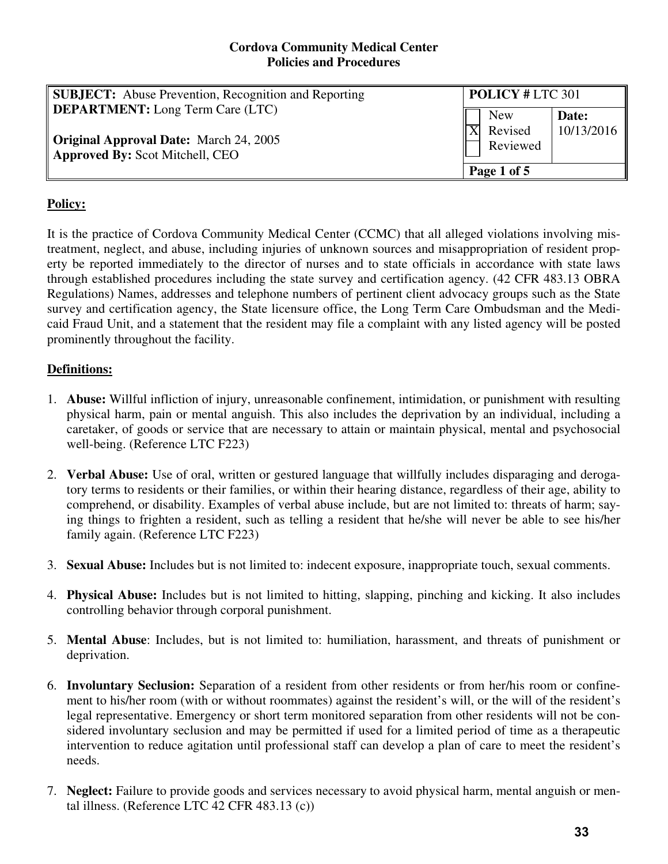| <b>SUBJECT:</b> Abuse Prevention, Recognition and Reporting                                                                 | <b>POLICY # LTC 301</b>           |                     |  |
|-----------------------------------------------------------------------------------------------------------------------------|-----------------------------------|---------------------|--|
| DEPARTMENT: Long Term Care (LTC)<br><b>Original Approval Date:</b> March 24, 2005<br><b>Approved By: Scot Mitchell, CEO</b> | <b>New</b><br>Revised<br>Reviewed | Date:<br>10/13/2016 |  |
|                                                                                                                             | Page 1 of 5                       |                     |  |

# **Policy:**

It is the practice of Cordova Community Medical Center (CCMC) that all alleged violations involving mistreatment, neglect, and abuse, including injuries of unknown sources and misappropriation of resident property be reported immediately to the director of nurses and to state officials in accordance with state laws through established procedures including the state survey and certification agency. (42 CFR 483.13 OBRA Regulations) Names, addresses and telephone numbers of pertinent client advocacy groups such as the State survey and certification agency, the State licensure office, the Long Term Care Ombudsman and the Medicaid Fraud Unit, and a statement that the resident may file a complaint with any listed agency will be posted prominently throughout the facility.

## **Definitions:**

- 1. **Abuse:** Willful infliction of injury, unreasonable confinement, intimidation, or punishment with resulting physical harm, pain or mental anguish. This also includes the deprivation by an individual, including a caretaker, of goods or service that are necessary to attain or maintain physical, mental and psychosocial well-being. (Reference LTC F223)
- 2. **Verbal Abuse:** Use of oral, written or gestured language that willfully includes disparaging and derogatory terms to residents or their families, or within their hearing distance, regardless of their age, ability to comprehend, or disability. Examples of verbal abuse include, but are not limited to: threats of harm; saying things to frighten a resident, such as telling a resident that he/she will never be able to see his/her family again. (Reference LTC F223)
- 3. **Sexual Abuse:** Includes but is not limited to: indecent exposure, inappropriate touch, sexual comments.
- 4. **Physical Abuse:** Includes but is not limited to hitting, slapping, pinching and kicking. It also includes controlling behavior through corporal punishment.
- 5. **Mental Abuse**: Includes, but is not limited to: humiliation, harassment, and threats of punishment or deprivation.
- 6. **Involuntary Seclusion:** Separation of a resident from other residents or from her/his room or confinement to his/her room (with or without roommates) against the resident's will, or the will of the resident's legal representative. Emergency or short term monitored separation from other residents will not be considered involuntary seclusion and may be permitted if used for a limited period of time as a therapeutic intervention to reduce agitation until professional staff can develop a plan of care to meet the resident's needs.
- 7. **Neglect:** Failure to provide goods and services necessary to avoid physical harm, mental anguish or mental illness. (Reference LTC 42 CFR 483.13 (c))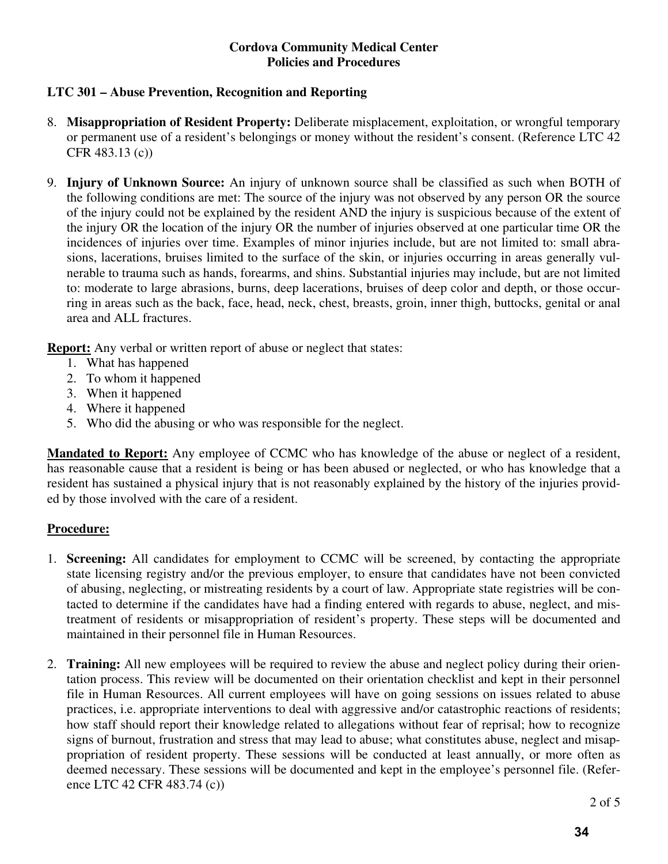# **LTC 301 – Abuse Prevention, Recognition and Reporting**

- 8. **Misappropriation of Resident Property:** Deliberate misplacement, exploitation, or wrongful temporary or permanent use of a resident's belongings or money without the resident's consent. (Reference LTC 42 CFR 483.13 (c))
- 9. **Injury of Unknown Source:** An injury of unknown source shall be classified as such when BOTH of the following conditions are met: The source of the injury was not observed by any person OR the source of the injury could not be explained by the resident AND the injury is suspicious because of the extent of the injury OR the location of the injury OR the number of injuries observed at one particular time OR the incidences of injuries over time. Examples of minor injuries include, but are not limited to: small abrasions, lacerations, bruises limited to the surface of the skin, or injuries occurring in areas generally vulnerable to trauma such as hands, forearms, and shins. Substantial injuries may include, but are not limited to: moderate to large abrasions, burns, deep lacerations, bruises of deep color and depth, or those occurring in areas such as the back, face, head, neck, chest, breasts, groin, inner thigh, buttocks, genital or anal area and ALL fractures.

**Report:** Any verbal or written report of abuse or neglect that states:

- 1. What has happened
- 2. To whom it happened
- 3. When it happened
- 4. Where it happened
- 5. Who did the abusing or who was responsible for the neglect.

**Mandated to Report:** Any employee of CCMC who has knowledge of the abuse or neglect of a resident, has reasonable cause that a resident is being or has been abused or neglected, or who has knowledge that a resident has sustained a physical injury that is not reasonably explained by the history of the injuries provided by those involved with the care of a resident.

## **Procedure:**

- 1. **Screening:** All candidates for employment to CCMC will be screened, by contacting the appropriate state licensing registry and/or the previous employer, to ensure that candidates have not been convicted of abusing, neglecting, or mistreating residents by a court of law. Appropriate state registries will be contacted to determine if the candidates have had a finding entered with regards to abuse, neglect, and mistreatment of residents or misappropriation of resident's property. These steps will be documented and maintained in their personnel file in Human Resources.
- 2. **Training:** All new employees will be required to review the abuse and neglect policy during their orientation process. This review will be documented on their orientation checklist and kept in their personnel file in Human Resources. All current employees will have on going sessions on issues related to abuse practices, i.e. appropriate interventions to deal with aggressive and/or catastrophic reactions of residents; how staff should report their knowledge related to allegations without fear of reprisal; how to recognize signs of burnout, frustration and stress that may lead to abuse; what constitutes abuse, neglect and misappropriation of resident property. These sessions will be conducted at least annually, or more often as deemed necessary. These sessions will be documented and kept in the employee's personnel file. (Reference LTC 42 CFR 483.74 (c))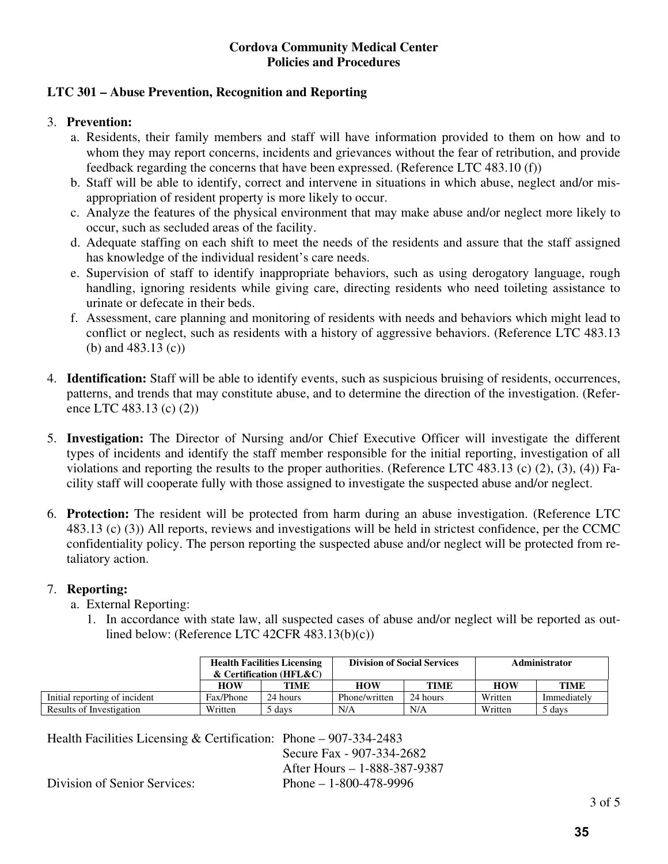# **LTC 301 – Abuse Prevention, Recognition and Reporting**

## 3. **Prevention:**

- a. Residents, their family members and staff will have information provided to them on how and to whom they may report concerns, incidents and grievances without the fear of retribution, and provide feedback regarding the concerns that have been expressed. (Reference LTC 483.10 (f))
- b. Staff will be able to identify, correct and intervene in situations in which abuse, neglect and/or misappropriation of resident property is more likely to occur.
- c. Analyze the features of the physical environment that may make abuse and/or neglect more likely to occur, such as secluded areas of the facility.
- d. Adequate staffing on each shift to meet the needs of the residents and assure that the staff assigned has knowledge of the individual resident's care needs.
- e. Supervision of staff to identify inappropriate behaviors, such as using derogatory language, rough handling, ignoring residents while giving care, directing residents who need toileting assistance to urinate or defecate in their beds.
- f. Assessment, care planning and monitoring of residents with needs and behaviors which might lead to conflict or neglect, such as residents with a history of aggressive behaviors. (Reference LTC 483.13 (b) and 483.13 (c))
- 4. **Identification:** Staff will be able to identify events, such as suspicious bruising of residents, occurrences, patterns, and trends that may constitute abuse, and to determine the direction of the investigation. (Reference LTC 483.13 (c) (2))
- 5. **Investigation:** The Director of Nursing and/or Chief Executive Officer will investigate the different types of incidents and identify the staff member responsible for the initial reporting, investigation of all violations and reporting the results to the proper authorities. (Reference LTC 483.13 (c) (2), (3), (4)) Facility staff will cooperate fully with those assigned to investigate the suspected abuse and/or neglect.
- 6. **Protection:** The resident will be protected from harm during an abuse investigation. (Reference LTC 483.13 (c) (3)) All reports, reviews and investigations will be held in strictest confidence, per the CCMC confidentiality policy. The person reporting the suspected abuse and/or neglect will be protected from retaliatory action.

## 7. **Reporting:**

- a. External Reporting:
	- 1. In accordance with state law, all suspected cases of abuse and/or neglect will be reported as outlined below: (Reference LTC 42CFR 483.13(b)(c))

|                               | <b>Health Facilities Licensing</b><br>$\&$ Certification (HFL $\&$ C) |          | <b>Division of Social Services</b> |             | Administrator |             |
|-------------------------------|-----------------------------------------------------------------------|----------|------------------------------------|-------------|---------------|-------------|
|                               | <b>HOW</b>                                                            | TIME     | <b>HOW</b>                         | <b>TIME</b> | <b>HOW</b>    | <b>TIME</b> |
| Initial reporting of incident | Fax/Phone                                                             | 24 hours | Phone/written                      | 24 hours    | Written       | Immediately |
| Results of Investigation      | Written                                                               | davs /   | N/A                                | N/A         | Written       | 5 davs      |

Health Facilities Licensing & Certification: Phone – 907-334-2483

 Secure Fax - 907-334-2682 After Hours – 1-888-387-9387

Division of Senior Services: Phone – 1-800-478-9996

3 of 5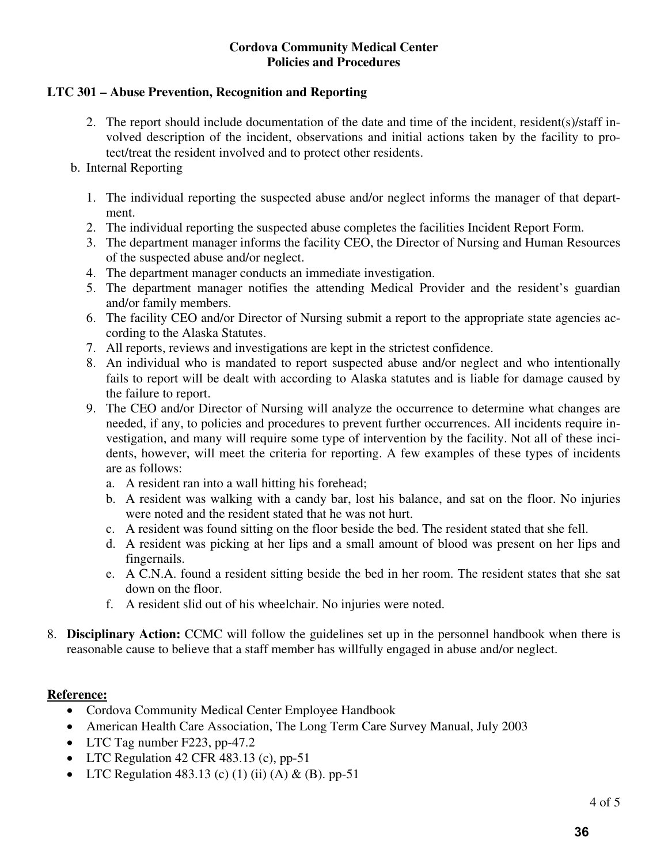## **LTC 301 – Abuse Prevention, Recognition and Reporting**

2. The report should include documentation of the date and time of the incident, resident(s)/staff involved description of the incident, observations and initial actions taken by the facility to protect/treat the resident involved and to protect other residents.

## b. Internal Reporting

- 1. The individual reporting the suspected abuse and/or neglect informs the manager of that department.
- 2. The individual reporting the suspected abuse completes the facilities Incident Report Form.
- 3. The department manager informs the facility CEO, the Director of Nursing and Human Resources of the suspected abuse and/or neglect.
- 4. The department manager conducts an immediate investigation.
- 5. The department manager notifies the attending Medical Provider and the resident's guardian and/or family members.
- 6. The facility CEO and/or Director of Nursing submit a report to the appropriate state agencies according to the Alaska Statutes.
- 7. All reports, reviews and investigations are kept in the strictest confidence.
- 8. An individual who is mandated to report suspected abuse and/or neglect and who intentionally fails to report will be dealt with according to Alaska statutes and is liable for damage caused by the failure to report.
- 9. The CEO and/or Director of Nursing will analyze the occurrence to determine what changes are needed, if any, to policies and procedures to prevent further occurrences. All incidents require investigation, and many will require some type of intervention by the facility. Not all of these incidents, however, will meet the criteria for reporting. A few examples of these types of incidents are as follows:
	- a. A resident ran into a wall hitting his forehead;
	- b. A resident was walking with a candy bar, lost his balance, and sat on the floor. No injuries were noted and the resident stated that he was not hurt.
	- c. A resident was found sitting on the floor beside the bed. The resident stated that she fell.
	- d. A resident was picking at her lips and a small amount of blood was present on her lips and fingernails.
	- e. A C.N.A. found a resident sitting beside the bed in her room. The resident states that she sat down on the floor.
	- f. A resident slid out of his wheelchair. No injuries were noted.
- 8. **Disciplinary Action:** CCMC will follow the guidelines set up in the personnel handbook when there is reasonable cause to believe that a staff member has willfully engaged in abuse and/or neglect.

## **Reference:**

- Cordova Community Medical Center Employee Handbook
- American Health Care Association, The Long Term Care Survey Manual, July 2003
- LTC Tag number F223, pp-47.2
- LTC Regulation 42 CFR 483.13 (c), pp-51
- LTC Regulation 483.13 (c) (1) (ii) (A) & (B). pp-51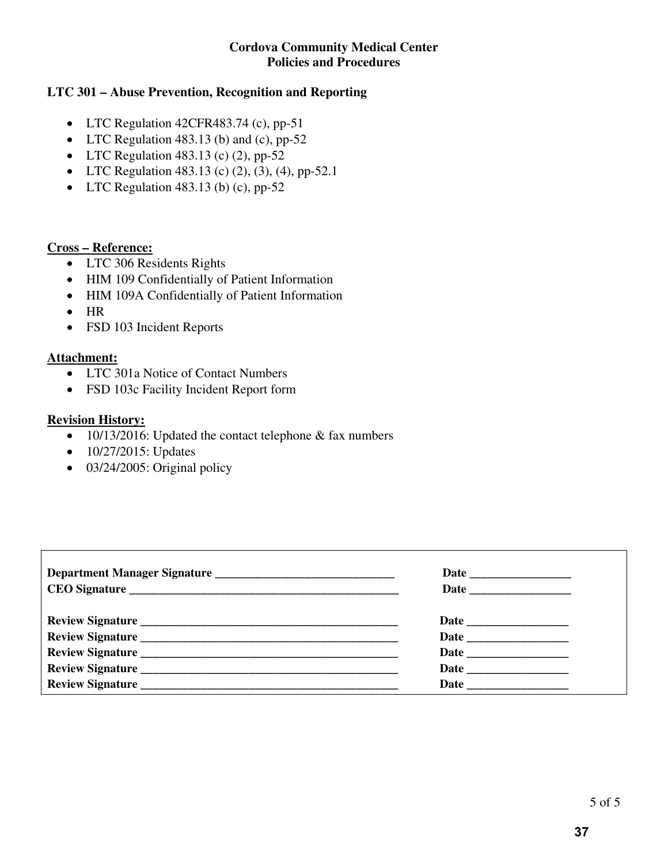## **LTC 301 – Abuse Prevention, Recognition and Reporting**

- LTC Regulation 42CFR483.74 (c), pp-51
- LTC Regulation 483.13 (b) and (c),  $pp-52$
- LTC Regulation 483.13 (c)  $(2)$ , pp-52
- LTC Regulation 483.13 (c)  $(2)$ ,  $(3)$ ,  $(4)$ , pp-52.1
- LTC Regulation 483.13 (b) (c),  $pp-52$

#### **Cross – Reference:**

- LTC 306 Residents Rights
- HIM 109 Confidentially of Patient Information
- HIM 109A Confidentially of Patient Information
- $\bullet$  HR
- FSD 103 Incident Reports

#### **Attachment:**

- LTC 301a Notice of Contact Numbers
- FSD 103c Facility Incident Report form

#### **Revision History:**

- 10/13/2016: Updated the contact telephone & fax numbers
- $\bullet$  10/27/2015: Updates
- 03/24/2005: Original policy

a l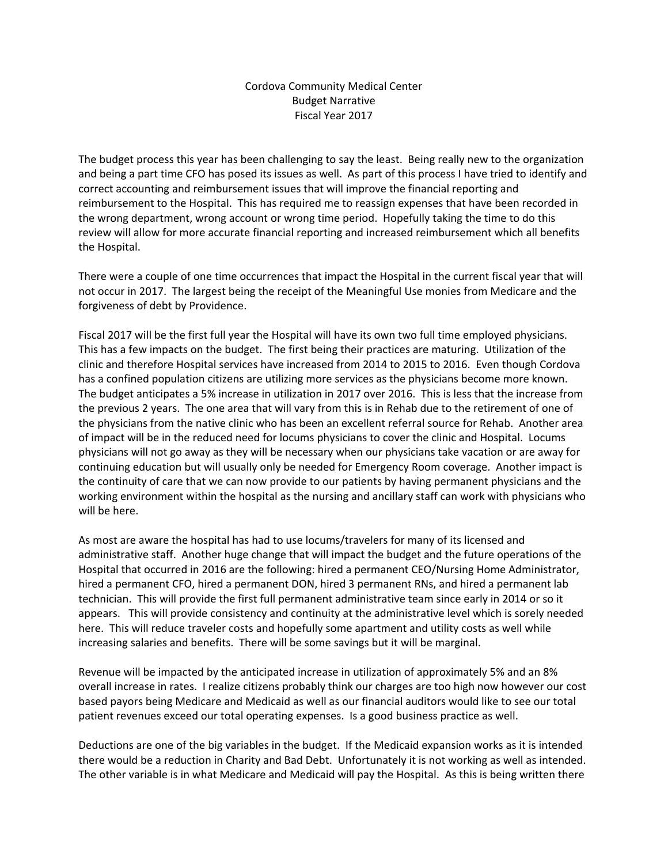#### Cordova Community Medical Center Budget Narrative Fiscal Year 2017

The budget process this year has been challenging to say the least. Being really new to the organization and being a part time CFO has posed its issues as well. As part of this process I have tried to identify and correct accounting and reimbursement issues that will improve the financial reporting and reimbursement to the Hospital. This has required me to reassign expenses that have been recorded in the wrong department, wrong account or wrong time period. Hopefully taking the time to do this review will allow for more accurate financial reporting and increased reimbursement which all benefits the Hospital.

There were a couple of one time occurrences that impact the Hospital in the current fiscal year that will not occur in 2017. The largest being the receipt of the Meaningful Use monies from Medicare and the forgiveness of debt by Providence.

Fiscal 2017 will be the first full year the Hospital will have its own two full time employed physicians. This has a few impacts on the budget. The first being their practices are maturing. Utilization of the clinic and therefore Hospital services have increased from 2014 to 2015 to 2016. Even though Cordova has a confined population citizens are utilizing more services as the physicians become more known. The budget anticipates a 5% increase in utilization in 2017 over 2016. This is less that the increase from the previous 2 years. The one area that will vary from this is in Rehab due to the retirement of one of the physicians from the native clinic who has been an excellent referral source for Rehab. Another area of impact will be in the reduced need for locums physicians to cover the clinic and Hospital. Locums physicians will not go away as they will be necessary when our physicians take vacation or are away for continuing education but will usually only be needed for Emergency Room coverage. Another impact is the continuity of care that we can now provide to our patients by having permanent physicians and the working environment within the hospital as the nursing and ancillary staff can work with physicians who will be here.

As most are aware the hospital has had to use locums/travelers for many of its licensed and administrative staff. Another huge change that will impact the budget and the future operations of the Hospital that occurred in 2016 are the following: hired a permanent CEO/Nursing Home Administrator, hired a permanent CFO, hired a permanent DON, hired 3 permanent RNs, and hired a permanent lab technician. This will provide the first full permanent administrative team since early in 2014 or so it appears. This will provide consistency and continuity at the administrative level which is sorely needed here. This will reduce traveler costs and hopefully some apartment and utility costs as well while increasing salaries and benefits. There will be some savings but it will be marginal.

Revenue will be impacted by the anticipated increase in utilization of approximately 5% and an 8% overall increase in rates. I realize citizens probably think our charges are too high now however our cost based payors being Medicare and Medicaid as well as our financial auditors would like to see our total patient revenues exceed our total operating expenses. Is a good business practice as well.

Deductions are one of the big variables in the budget. If the Medicaid expansion works as it is intended there would be a reduction in Charity and Bad Debt. Unfortunately it is not working as well as intended. The other variable is in what Medicare and Medicaid will pay the Hospital. As this is being written there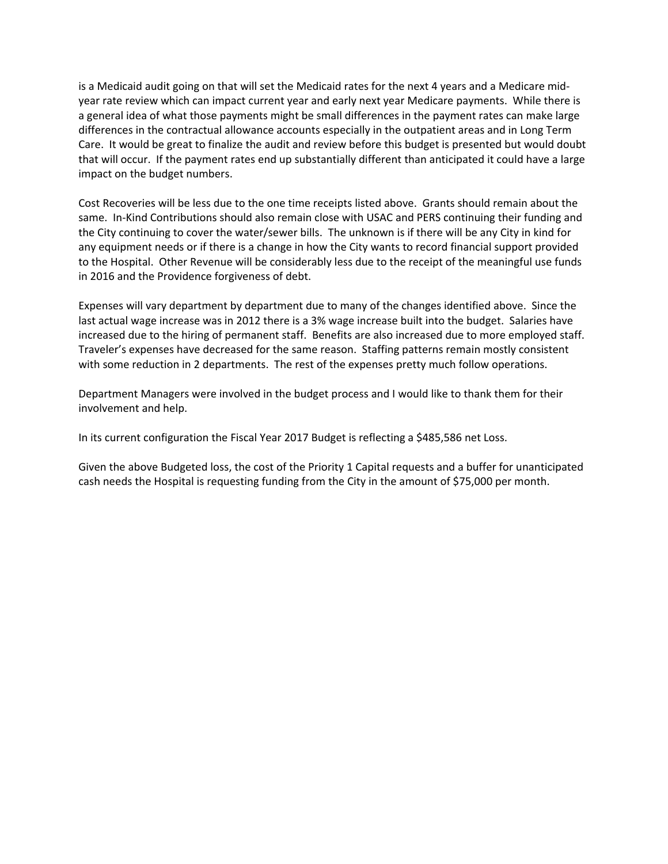is a Medicaid audit going on that will set the Medicaid rates for the next 4 years and a Medicare mid‐ year rate review which can impact current year and early next year Medicare payments. While there is a general idea of what those payments might be small differences in the payment rates can make large differences in the contractual allowance accounts especially in the outpatient areas and in Long Term Care. It would be great to finalize the audit and review before this budget is presented but would doubt that will occur. If the payment rates end up substantially different than anticipated it could have a large impact on the budget numbers.

Cost Recoveries will be less due to the one time receipts listed above. Grants should remain about the same. In-Kind Contributions should also remain close with USAC and PERS continuing their funding and the City continuing to cover the water/sewer bills. The unknown is if there will be any City in kind for any equipment needs or if there is a change in how the City wants to record financial support provided to the Hospital. Other Revenue will be considerably less due to the receipt of the meaningful use funds in 2016 and the Providence forgiveness of debt.

Expenses will vary department by department due to many of the changes identified above. Since the last actual wage increase was in 2012 there is a 3% wage increase built into the budget. Salaries have increased due to the hiring of permanent staff. Benefits are also increased due to more employed staff. Traveler's expenses have decreased for the same reason. Staffing patterns remain mostly consistent with some reduction in 2 departments. The rest of the expenses pretty much follow operations.

Department Managers were involved in the budget process and I would like to thank them for their involvement and help.

In its current configuration the Fiscal Year 2017 Budget is reflecting a \$485,586 net Loss.

Given the above Budgeted loss, the cost of the Priority 1 Capital requests and a buffer for unanticipated cash needs the Hospital is requesting funding from the City in the amount of \$75,000 per month.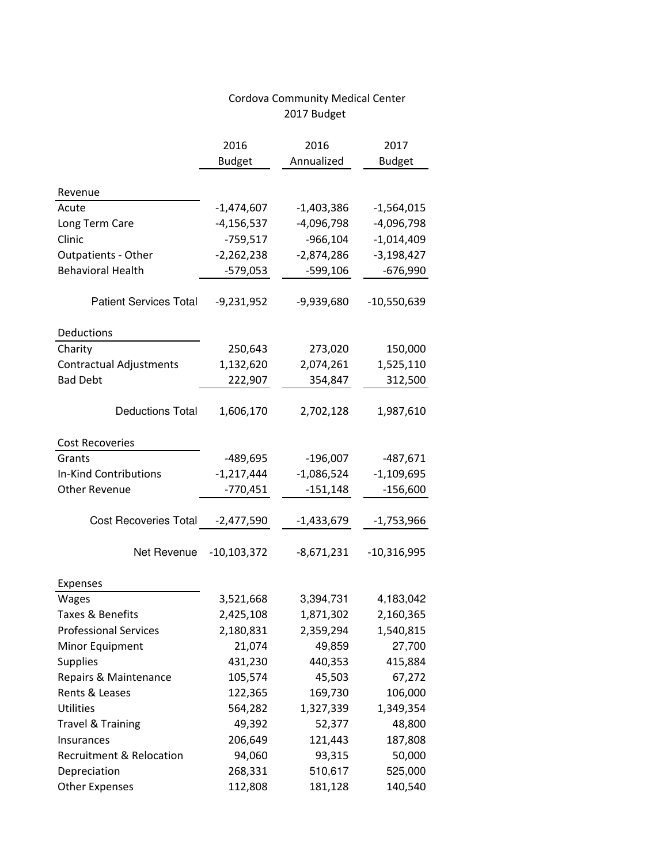|                                     | 2016            | 2016         | 2017          |
|-------------------------------------|-----------------|--------------|---------------|
|                                     | <b>Budget</b>   | Annualized   | <b>Budget</b> |
|                                     |                 |              |               |
| Revenue                             |                 |              |               |
| Acute                               | $-1,474,607$    | $-1,403,386$ | $-1,564,015$  |
| Long Term Care                      | $-4, 156, 537$  | $-4,096,798$ | $-4,096,798$  |
| Clinic                              | $-759,517$      | $-966,104$   | $-1,014,409$  |
| <b>Outpatients - Other</b>          | $-2,262,238$    | $-2,874,286$ | $-3,198,427$  |
| <b>Behavioral Health</b>            | $-579,053$      | $-599,106$   | $-676,990$    |
|                                     |                 |              |               |
| <b>Patient Services Total</b>       | $-9,231,952$    | -9,939,680   | $-10,550,639$ |
|                                     |                 |              |               |
| Deductions                          |                 |              |               |
| Charity                             | 250,643         | 273,020      | 150,000       |
| <b>Contractual Adjustments</b>      | 1,132,620       | 2,074,261    | 1,525,110     |
| <b>Bad Debt</b>                     | 222,907         | 354,847      | 312,500       |
|                                     |                 |              |               |
| <b>Deductions Total</b>             | 1,606,170       | 2,702,128    | 1,987,610     |
|                                     |                 |              |               |
| <b>Cost Recoveries</b>              |                 |              |               |
| Grants                              | $-489,695$      | $-196,007$   | $-487,671$    |
| <b>In-Kind Contributions</b>        | $-1,217,444$    | $-1,086,524$ | $-1,109,695$  |
| <b>Other Revenue</b>                | $-770,451$      | $-151,148$   | $-156,600$    |
|                                     |                 |              |               |
| <b>Cost Recoveries Total</b>        | $-2,477,590$    | -1,433,679   | -1,753,966    |
|                                     |                 |              |               |
| Net Revenue                         | $-10, 103, 372$ | $-8,671,231$ | $-10,316,995$ |
|                                     |                 |              |               |
| Expenses                            |                 |              |               |
| Wages                               | 3,521,668       | 3,394,731    | 4,183,042     |
| Taxes & Benefits                    | 2,425,108       | 1,871,302    | 2,160,365     |
| <b>Professional Services</b>        | 2,180,831       | 2,359,294    | 1,540,815     |
| Minor Equipment                     | 21,074          | 49,859       | 27,700        |
| <b>Supplies</b>                     | 431,230         | 440,353      | 415,884       |
| Repairs & Maintenance               | 105,574         | 45,503       | 67,272        |
| Rents & Leases                      | 122,365         | 169,730      | 106,000       |
| <b>Utilities</b>                    | 564,282         | 1,327,339    | 1,349,354     |
| <b>Travel &amp; Training</b>        | 49,392          | 52,377       | 48,800        |
| Insurances                          | 206,649         | 121,443      | 187,808       |
| <b>Recruitment &amp; Relocation</b> | 94,060          | 93,315       | 50,000        |
| Depreciation                        | 268,331         | 510,617      | 525,000       |
| <b>Other Expenses</b>               | 112,808         | 181,128      | 140,540       |

# Cordova Community Medical Center 2017 Budget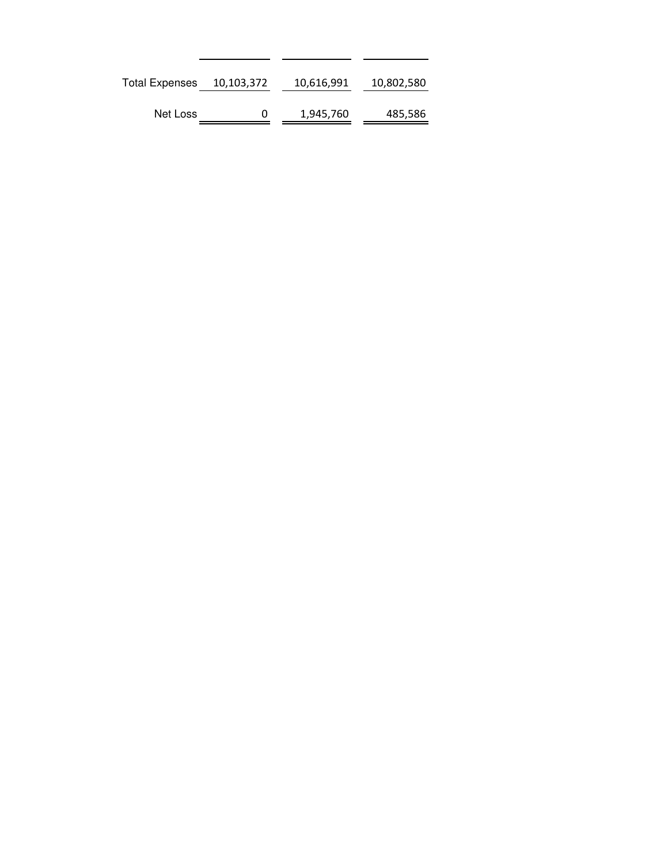| <b>Total Expenses</b> | 10,103,372 | 10,616,991 | 10,802,580 |
|-----------------------|------------|------------|------------|
| Net Loss              | 0          | 1,945,760  | 485,586    |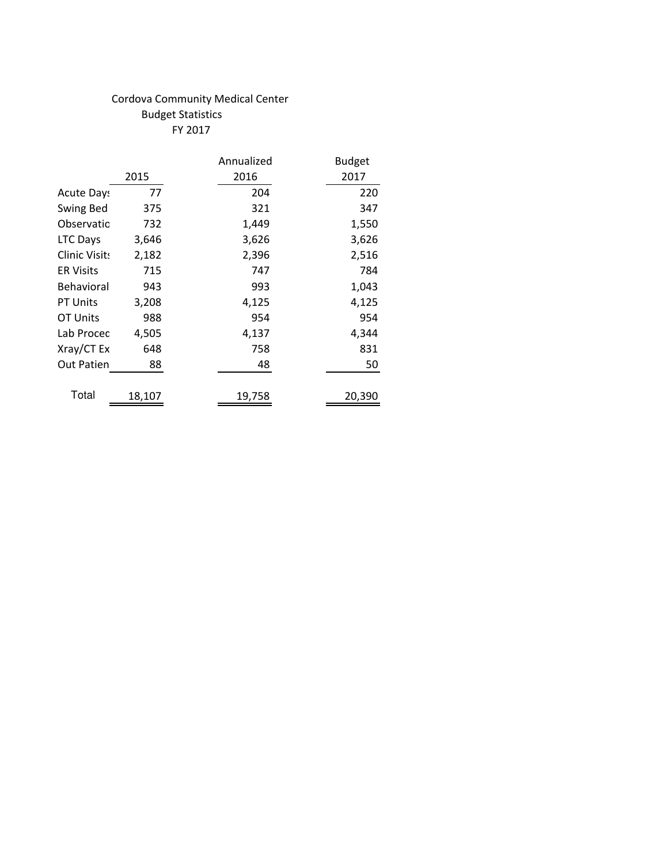# Cordova Community Medical Center Budget Statistics FY 2017

|                   |        | Annualized | <b>Budget</b> |
|-------------------|--------|------------|---------------|
|                   | 2015   | 2016       | 2017          |
| <b>Acute Days</b> | 77     | 204        | 220           |
| Swing Bed         | 375    | 321        | 347           |
| Observatio        | 732    | 1,449      | 1,550         |
| <b>LTC Days</b>   | 3,646  | 3,626      | 3,626         |
| Clinic Visits     | 2,182  | 2,396      | 2,516         |
| <b>ER Visits</b>  | 715    | 747        | 784           |
| Behavioral        | 943    | 993        | 1,043         |
| <b>PT Units</b>   | 3,208  | 4,125      | 4,125         |
| OT Units          | 988    | 954        | 954           |
| Lab Procec        | 4,505  | 4,137      | 4,344         |
| Xray/CT Ex        | 648    | 758        | 831           |
| <b>Out Patien</b> | 88     | 48         | 50            |
| Total             | 18,107 | 19,758     | 20,390        |